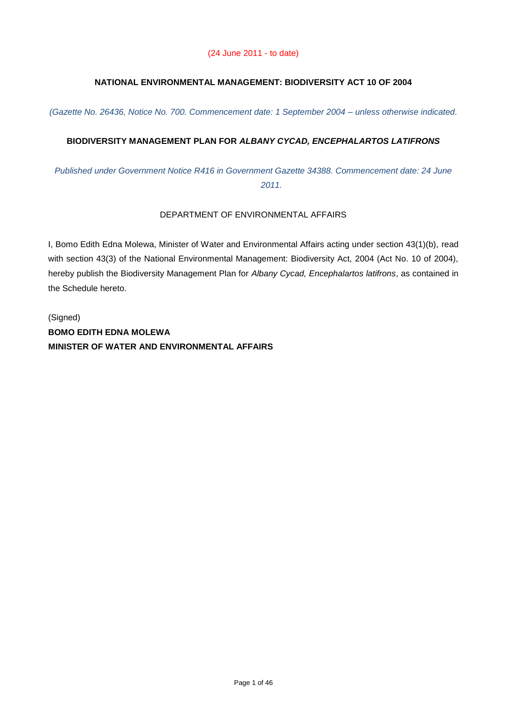# **NATIONAL ENVIRONMENTAL MANAGEMENT: BIODIVERSITY ACT 10 OF 2004**

*(Gazette No. 26436, Notice No. 700. Commencement date: 1 September 2004 – unless otherwise indicated.* 

# **BIODIVERSITY MANAGEMENT PLAN FOR** *ALBANY CYCAD, ENCEPHALARTOS LATIFRONS*

*Published under Government Notice R416 in Government Gazette 34388. Commencement date: 24 June 2011.* 

### DEPARTMENT OF ENVIRONMENTAL AFFAIRS

I, Bomo Edith Edna Molewa, Minister of Water and Environmental Affairs acting under section 43(1)(b), read with section 43(3) of the National Environmental Management: Biodiversity Act, 2004 (Act No. 10 of 2004), hereby publish the Biodiversity Management Plan for *Albany Cycad, Encephalartos latifrons*, as contained in the Schedule hereto.

(Signed) **BOMO EDITH EDNA MOLEWA MINISTER OF WATER AND ENVIRONMENTAL AFFAIRS**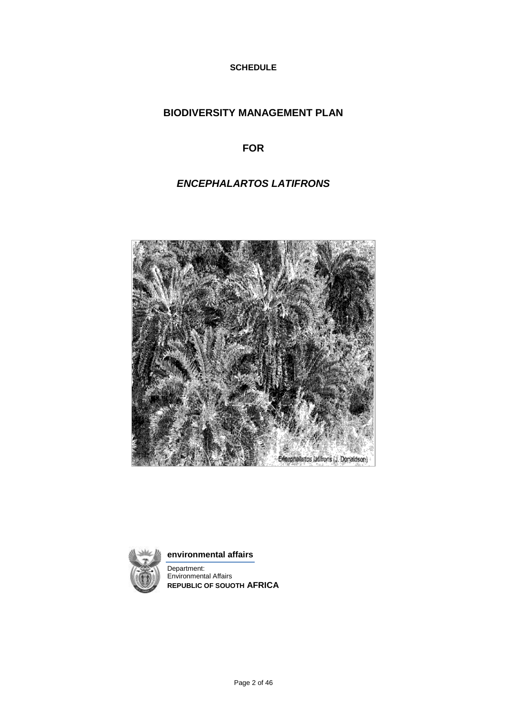**SCHEDULE**

# **BIODIVERSITY MANAGEMENT PLAN**

**FOR**

# *ENCEPHALARTOS LATIFRONS*





**environmental affairs** 

Department: Environmental Affairs **REPUBLIC OF SOUOTH AFRICA**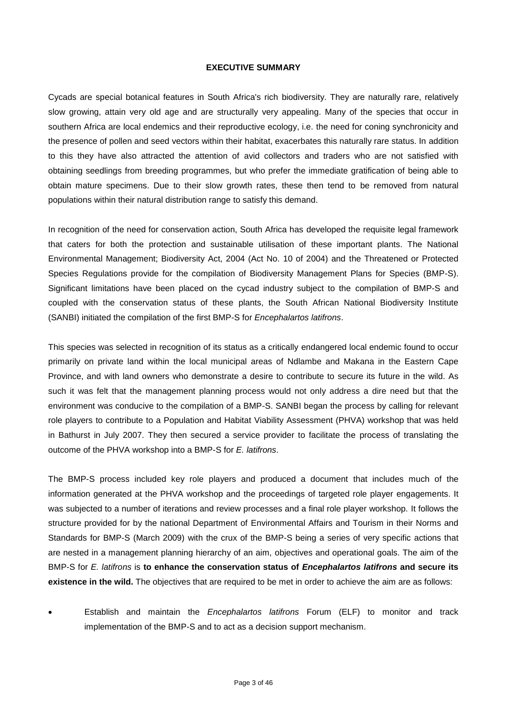### **EXECUTIVE SUMMARY**

Cycads are special botanical features in South Africa's rich biodiversity. They are naturally rare, relatively slow growing, attain very old age and are structurally very appealing. Many of the species that occur in southern Africa are local endemics and their reproductive ecology, i.e. the need for coning synchronicity and the presence of pollen and seed vectors within their habitat, exacerbates this naturally rare status. In addition to this they have also attracted the attention of avid collectors and traders who are not satisfied with obtaining seedlings from breeding programmes, but who prefer the immediate gratification of being able to obtain mature specimens. Due to their slow growth rates, these then tend to be removed from natural populations within their natural distribution range to satisfy this demand.

In recognition of the need for conservation action, South Africa has developed the requisite legal framework that caters for both the protection and sustainable utilisation of these important plants. The National Environmental Management; Biodiversity Act, 2004 (Act No. 10 of 2004) and the Threatened or Protected Species Regulations provide for the compilation of Biodiversity Management Plans for Species (BMP-S). Significant limitations have been placed on the cycad industry subject to the compilation of BMP-S and coupled with the conservation status of these plants, the South African National Biodiversity Institute (SANBI) initiated the compilation of the first BMP-S for *Encephalartos latifrons*.

This species was selected in recognition of its status as a critically endangered local endemic found to occur primarily on private land within the local municipal areas of Ndlambe and Makana in the Eastern Cape Province, and with land owners who demonstrate a desire to contribute to secure its future in the wild. As such it was felt that the management planning process would not only address a dire need but that the environment was conducive to the compilation of a BMP-S. SANBI began the process by calling for relevant role players to contribute to a Population and Habitat Viability Assessment (PHVA) workshop that was held in Bathurst in July 2007. They then secured a service provider to facilitate the process of translating the outcome of the PHVA workshop into a BMP-S for *E. latifrons*.

The BMP-S process included key role players and produced a document that includes much of the information generated at the PHVA workshop and the proceedings of targeted role player engagements. It was subjected to a number of iterations and review processes and a final role player workshop. It follows the structure provided for by the national Department of Environmental Affairs and Tourism in their Norms and Standards for BMP-S (March 2009) with the crux of the BMP-S being a series of very specific actions that are nested in a management planning hierarchy of an aim, objectives and operational goals. The aim of the BMP-S for *E. latifrons* is **to enhance the conservation status of** *Encephalartos latifrons* **and secure its existence in the wild.** The objectives that are required to be met in order to achieve the aim are as follows:

 Establish and maintain the *Encephalartos latifrons* Forum (ELF) to monitor and track implementation of the BMP-S and to act as a decision support mechanism.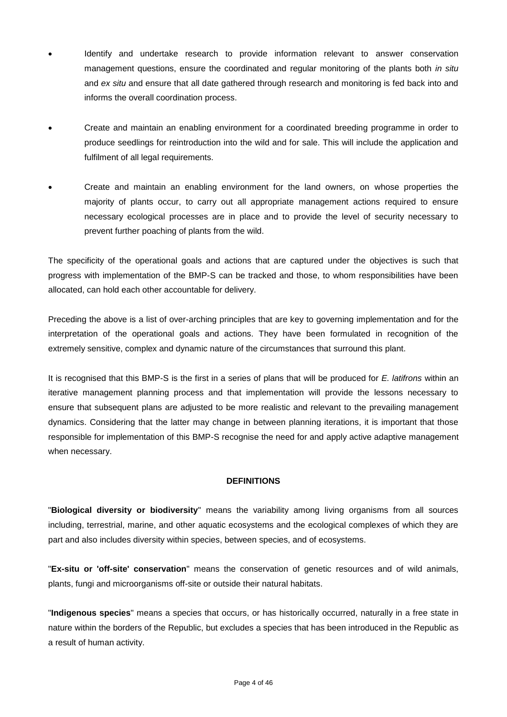- Identify and undertake research to provide information relevant to answer conservation management questions, ensure the coordinated and regular monitoring of the plants both *in situ* and *ex situ* and ensure that all date gathered through research and monitoring is fed back into and informs the overall coordination process.
- Create and maintain an enabling environment for a coordinated breeding programme in order to produce seedlings for reintroduction into the wild and for sale. This will include the application and fulfilment of all legal requirements.
- Create and maintain an enabling environment for the land owners, on whose properties the majority of plants occur, to carry out all appropriate management actions required to ensure necessary ecological processes are in place and to provide the level of security necessary to prevent further poaching of plants from the wild.

The specificity of the operational goals and actions that are captured under the objectives is such that progress with implementation of the BMP-S can be tracked and those, to whom responsibilities have been allocated, can hold each other accountable for delivery.

Preceding the above is a list of over-arching principles that are key to governing implementation and for the interpretation of the operational goals and actions. They have been formulated in recognition of the extremely sensitive, complex and dynamic nature of the circumstances that surround this plant.

It is recognised that this BMP-S is the first in a series of plans that will be produced for *E. latifrons* within an iterative management planning process and that implementation will provide the lessons necessary to ensure that subsequent plans are adjusted to be more realistic and relevant to the prevailing management dynamics. Considering that the latter may change in between planning iterations, it is important that those responsible for implementation of this BMP-S recognise the need for and apply active adaptive management when necessary.

# **DEFINITIONS**

"**Biological diversity or biodiversity**" means the variability among living organisms from all sources including, terrestrial, marine, and other aquatic ecosystems and the ecological complexes of which they are part and also includes diversity within species, between species, and of ecosystems.

"**Ex-situ or 'off-site' conservation**" means the conservation of genetic resources and of wild animals, plants, fungi and microorganisms off-site or outside their natural habitats.

"**Indigenous species**" means a species that occurs, or has historically occurred, naturally in a free state in nature within the borders of the Republic, but excludes a species that has been introduced in the Republic as a result of human activity.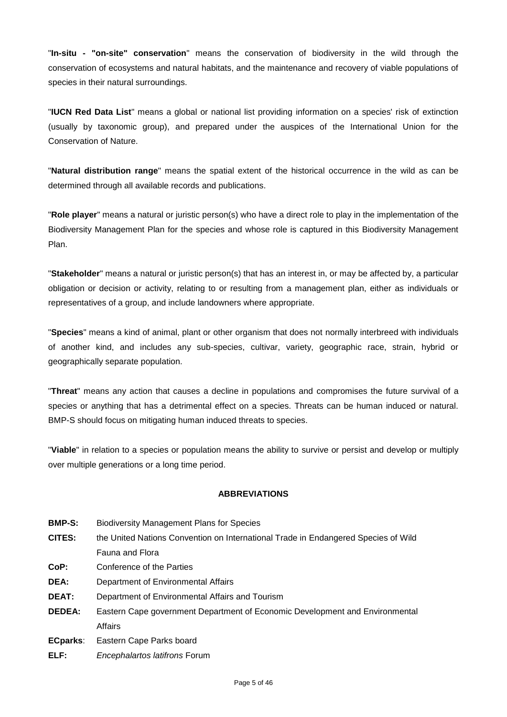"**In-situ - "on-site" conservation**" means the conservation of biodiversity in the wild through the conservation of ecosystems and natural habitats, and the maintenance and recovery of viable populations of species in their natural surroundings.

"**IUCN Red Data List**" means a global or national list providing information on a species' risk of extinction (usually by taxonomic group), and prepared under the auspices of the International Union for the Conservation of Nature.

"**Natural distribution range**" means the spatial extent of the historical occurrence in the wild as can be determined through all available records and publications.

"**Role player**" means a natural or juristic person(s) who have a direct role to play in the implementation of the Biodiversity Management Plan for the species and whose role is captured in this Biodiversity Management Plan.

"**Stakeholder**" means a natural or juristic person(s) that has an interest in, or may be affected by, a particular obligation or decision or activity, relating to or resulting from a management plan, either as individuals or representatives of a group, and include landowners where appropriate.

"**Species**" means a kind of animal, plant or other organism that does not normally interbreed with individuals of another kind, and includes any sub-species, cultivar, variety, geographic race, strain, hybrid or geographically separate population.

"**Threat**" means any action that causes a decline in populations and compromises the future survival of a species or anything that has a detrimental effect on a species. Threats can be human induced or natural. BMP-S should focus on mitigating human induced threats to species.

"**Viable**" in relation to a species or population means the ability to survive or persist and develop or multiply over multiple generations or a long time period.

### **ABBREVIATIONS**

- **BMP-S:** Biodiversity Management Plans for Species
- **CITES:** the United Nations Convention on International Trade in Endangered Species of Wild Fauna and Flora
- **CoP:** Conference of the Parties
- **DEA:** Department of Environmental Affairs
- **DEAT:** Department of Environmental Affairs and Tourism
- **DEDEA:** Eastern Cape government Department of Economic Development and Environmental **Affairs**
- **ECparks**: Eastern Cape Parks board
- **ELF:** *Encephalartos latifrons* Forum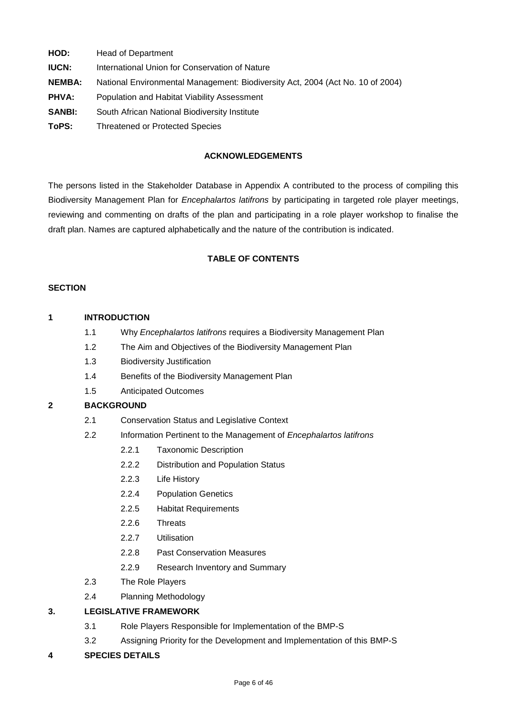- **HOD:** Head of Department
- **IUCN:** International Union for Conservation of Nature
- **NEMBA:** National Environmental Management: Biodiversity Act, 2004 (Act No. 10 of 2004)
- **PHVA:** Population and Habitat Viability Assessment
- **SANBI:** South African National Biodiversity Institute
- **ToPS:** Threatened or Protected Species

## **ACKNOWLEDGEMENTS**

The persons listed in the Stakeholder Database in Appendix A contributed to the process of compiling this Biodiversity Management Plan for *Encephalartos latifrons* by participating in targeted role player meetings, reviewing and commenting on drafts of the plan and participating in a role player workshop to finalise the draft plan. Names are captured alphabetically and the nature of the contribution is indicated.

# **TABLE OF CONTENTS**

### **SECTION**

### **1 INTRODUCTION**

- 1.1 Why *Encephalartos latifrons* requires a Biodiversity Management Plan
- 1.2 The Aim and Objectives of the Biodiversity Management Plan
- 1.3 Biodiversity Justification
- 1.4 Benefits of the Biodiversity Management Plan
- 1.5 Anticipated Outcomes

# **2 BACKGROUND**

- 2.1 Conservation Status and Legislative Context
- 2.2 Information Pertinent to the Management of *Encephalartos latifrons*
	- 2.2.1 Taxonomic Description
	- 2.2.2 Distribution and Population Status
	- 2.2.3 Life History
	- 2.2.4 Population Genetics
	- 2.2.5 Habitat Requirements
	- 2.2.6 Threats
	- 2.2.7 Utilisation
	- 2.2.8 Past Conservation Measures
	- 2.2.9 Research Inventory and Summary
- 2.3 The Role Players
- 2.4 Planning Methodology

# **3. LEGISLATIVE FRAMEWORK**

- 3.1 Role Players Responsible for Implementation of the BMP-S
- 3.2 Assigning Priority for the Development and Implementation of this BMP-S

### **4 SPECIES DETAILS**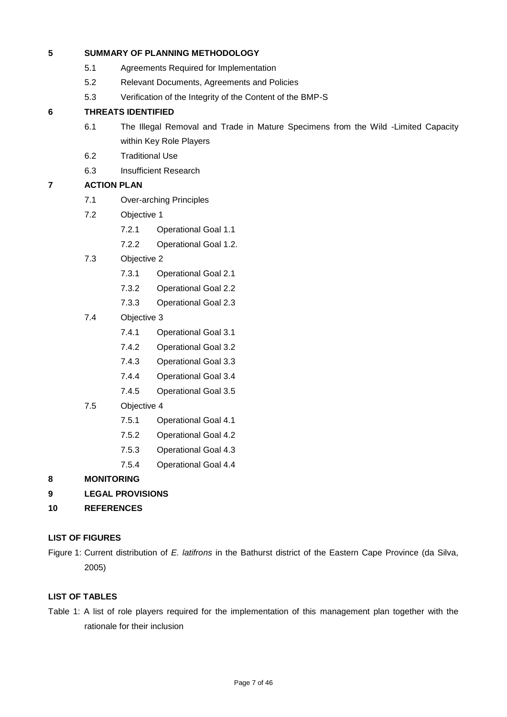# **5 SUMMARY OF PLANNING METHODOLOGY**

- 5.1 Agreements Required for Implementation
- 5.2 Relevant Documents, Agreements and Policies
- 5.3 Verification of the Integrity of the Content of the BMP-S

# **6 THREATS IDENTIFIED**

- 6.1 The Illegal Removal and Trade in Mature Specimens from the Wild -Limited Capacity within Key Role Players
- 6.2 Traditional Use
- 6.3 Insufficient Research

# **7 ACTION PLAN**

- 7.1 Over-arching Principles
- 7.2 Objective 1
	- 7.2.1 Operational Goal 1.1
	- 7.2.2 Operational Goal 1.2.
- 7.3 Objective 2
	- 7.3.1 Operational Goal 2.1
	- 7.3.2 Operational Goal 2.2
	- 7.3.3 Operational Goal 2.3
- 7.4 Objective 3
	- 7.4.1 Operational Goal 3.1
	- 7.4.2 Operational Goal 3.2
	- 7.4.3 Operational Goal 3.3
	- 7.4.4 Operational Goal 3.4
	- 7.4.5 Operational Goal 3.5
- 7.5 Objective 4
	- 7.5.1 Operational Goal 4.1
	- 7.5.2 Operational Goal 4.2
	- 7.5.3 Operational Goal 4.3
	- 7.5.4 Operational Goal 4.4

### **8 MONITORING**

- **9 LEGAL PROVISIONS**
- **10 REFERENCES**

### **LIST OF FIGURES**

Figure 1: Current distribution of *E. latifrons* in the Bathurst district of the Eastern Cape Province (da Silva, 2005)

### **LIST OF TABLES**

Table 1: A list of role players required for the implementation of this management plan together with the rationale for their inclusion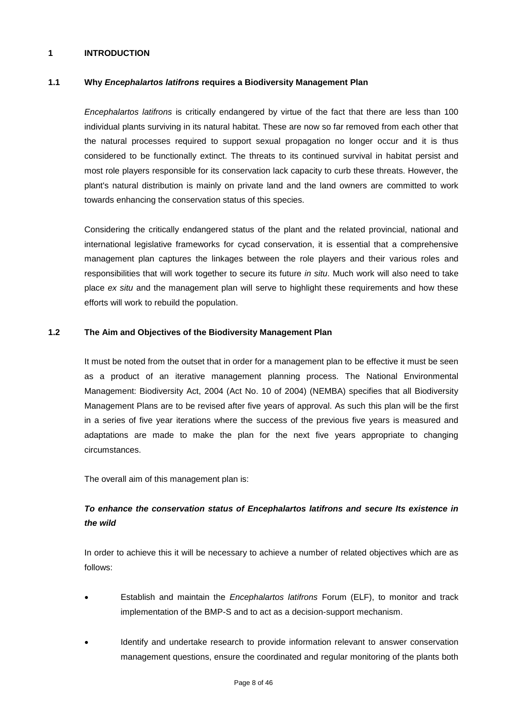### **1 INTRODUCTION**

### **1.1 Why** *Encephalartos latifrons* **requires a Biodiversity Management Plan**

*Encephalartos latifrons* is critically endangered by virtue of the fact that there are less than 100 individual plants surviving in its natural habitat. These are now so far removed from each other that the natural processes required to support sexual propagation no longer occur and it is thus considered to be functionally extinct. The threats to its continued survival in habitat persist and most role players responsible for its conservation lack capacity to curb these threats. However, the plant's natural distribution is mainly on private land and the land owners are committed to work towards enhancing the conservation status of this species.

Considering the critically endangered status of the plant and the related provincial, national and international legislative frameworks for cycad conservation, it is essential that a comprehensive management plan captures the linkages between the role players and their various roles and responsibilities that will work together to secure its future *in situ*. Much work will also need to take place *ex situ* and the management plan will serve to highlight these requirements and how these efforts will work to rebuild the population.

#### **1.2 The Aim and Objectives of the Biodiversity Management Plan**

It must be noted from the outset that in order for a management plan to be effective it must be seen as a product of an iterative management planning process. The National Environmental Management: Biodiversity Act, 2004 (Act No. 10 of 2004) (NEMBA) specifies that all Biodiversity Management Plans are to be revised after five years of approval. As such this plan will be the first in a series of five year iterations where the success of the previous five years is measured and adaptations are made to make the plan for the next five years appropriate to changing circumstances.

The overall aim of this management plan is:

# *To enhance the conservation status of Encephalartos latifrons and secure Its existence in the wild*

In order to achieve this it will be necessary to achieve a number of related objectives which are as follows:

- Establish and maintain the *Encephalartos latifrons* Forum (ELF), to monitor and track implementation of the BMP-S and to act as a decision-support mechanism.
- Identify and undertake research to provide information relevant to answer conservation management questions, ensure the coordinated and regular monitoring of the plants both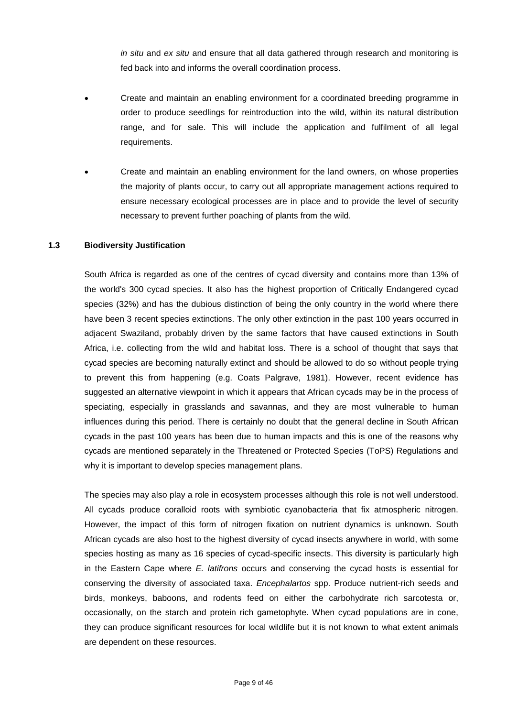*in situ* and *ex situ* and ensure that all data gathered through research and monitoring is fed back into and informs the overall coordination process.

- Create and maintain an enabling environment for a coordinated breeding programme in order to produce seedlings for reintroduction into the wild, within its natural distribution range, and for sale. This will include the application and fulfilment of all legal requirements.
- Create and maintain an enabling environment for the land owners, on whose properties the majority of plants occur, to carry out all appropriate management actions required to ensure necessary ecological processes are in place and to provide the level of security necessary to prevent further poaching of plants from the wild.

#### **1.3 Biodiversity Justification**

South Africa is regarded as one of the centres of cycad diversity and contains more than 13% of the world's 300 cycad species. It also has the highest proportion of Critically Endangered cycad species (32%) and has the dubious distinction of being the only country in the world where there have been 3 recent species extinctions. The only other extinction in the past 100 years occurred in adjacent Swaziland, probably driven by the same factors that have caused extinctions in South Africa, i.e. collecting from the wild and habitat loss. There is a school of thought that says that cycad species are becoming naturally extinct and should be allowed to do so without people trying to prevent this from happening (e.g. Coats Palgrave, 1981). However, recent evidence has suggested an alternative viewpoint in which it appears that African cycads may be in the process of speciating, especially in grasslands and savannas, and they are most vulnerable to human influences during this period. There is certainly no doubt that the general decline in South African cycads in the past 100 years has been due to human impacts and this is one of the reasons why cycads are mentioned separately in the Threatened or Protected Species (ToPS) Regulations and why it is important to develop species management plans.

The species may also play a role in ecosystem processes although this role is not well understood. All cycads produce coralloid roots with symbiotic cyanobacteria that fix atmospheric nitrogen. However, the impact of this form of nitrogen fixation on nutrient dynamics is unknown. South African cycads are also host to the highest diversity of cycad insects anywhere in world, with some species hosting as many as 16 species of cycad-specific insects. This diversity is particularly high in the Eastern Cape where *E. latifrons* occurs and conserving the cycad hosts is essential for conserving the diversity of associated taxa. *Encephalartos* spp. Produce nutrient-rich seeds and birds, monkeys, baboons, and rodents feed on either the carbohydrate rich sarcotesta or, occasionally, on the starch and protein rich gametophyte. When cycad populations are in cone, they can produce significant resources for local wildlife but it is not known to what extent animals are dependent on these resources.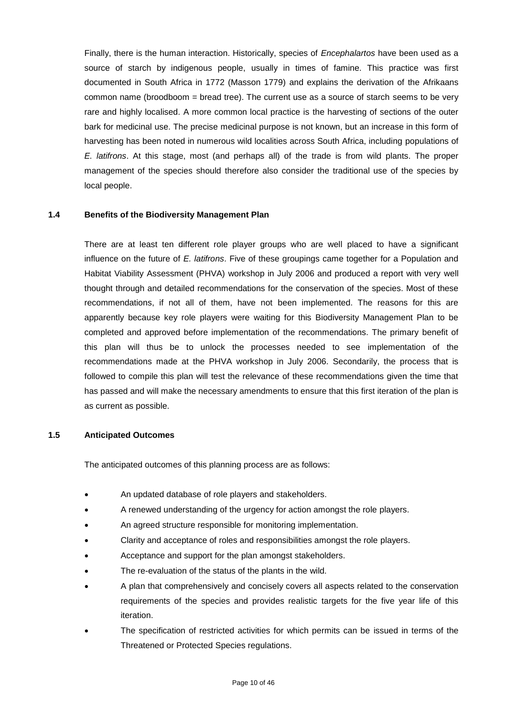Finally, there is the human interaction. Historically, species of *Encephalartos* have been used as a source of starch by indigenous people, usually in times of famine. This practice was first documented in South Africa in 1772 (Masson 1779) and explains the derivation of the Afrikaans common name (broodboom = bread tree). The current use as a source of starch seems to be very rare and highly localised. A more common local practice is the harvesting of sections of the outer bark for medicinal use. The precise medicinal purpose is not known, but an increase in this form of harvesting has been noted in numerous wild localities across South Africa, including populations of *E. latifrons*. At this stage, most (and perhaps all) of the trade is from wild plants. The proper management of the species should therefore also consider the traditional use of the species by local people.

#### **1.4 Benefits of the Biodiversity Management Plan**

There are at least ten different role player groups who are well placed to have a significant influence on the future of *E. latifrons*. Five of these groupings came together for a Population and Habitat Viability Assessment (PHVA) workshop in July 2006 and produced a report with very well thought through and detailed recommendations for the conservation of the species. Most of these recommendations, if not all of them, have not been implemented. The reasons for this are apparently because key role players were waiting for this Biodiversity Management Plan to be completed and approved before implementation of the recommendations. The primary benefit of this plan will thus be to unlock the processes needed to see implementation of the recommendations made at the PHVA workshop in July 2006. Secondarily, the process that is followed to compile this plan will test the relevance of these recommendations given the time that has passed and will make the necessary amendments to ensure that this first iteration of the plan is as current as possible.

#### **1.5 Anticipated Outcomes**

The anticipated outcomes of this planning process are as follows:

- An updated database of role players and stakeholders.
- A renewed understanding of the urgency for action amongst the role players.
- An agreed structure responsible for monitoring implementation.
- Clarity and acceptance of roles and responsibilities amongst the role players.
- Acceptance and support for the plan amongst stakeholders.
- The re-evaluation of the status of the plants in the wild.
- A plan that comprehensively and concisely covers all aspects related to the conservation requirements of the species and provides realistic targets for the five year life of this iteration.
- The specification of restricted activities for which permits can be issued in terms of the Threatened or Protected Species regulations.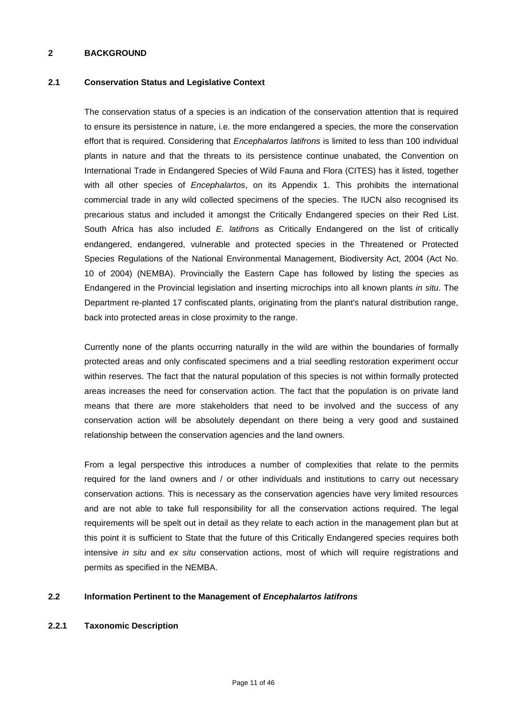### **2 BACKGROUND**

### **2.1 Conservation Status and Legislative Context**

The conservation status of a species is an indication of the conservation attention that is required to ensure its persistence in nature, i.e. the more endangered a species, the more the conservation effort that is required. Considering that *Encephalartos latifrons* is limited to less than 100 individual plants in nature and that the threats to its persistence continue unabated, the Convention on International Trade in Endangered Species of Wild Fauna and Flora (CITES) has it listed, together with all other species of *Encephalartos*, on its Appendix 1. This prohibits the international commercial trade in any wild collected specimens of the species. The IUCN also recognised its precarious status and included it amongst the Critically Endangered species on their Red List. South Africa has also included *E. latifrons* as Critically Endangered on the list of critically endangered, endangered, vulnerable and protected species in the Threatened or Protected Species Regulations of the National Environmental Management, Biodiversity Act, 2004 (Act No. 10 of 2004) (NEMBA). Provincially the Eastern Cape has followed by listing the species as Endangered in the Provincial legislation and inserting microchips into all known plants *in situ*. The Department re-planted 17 confiscated plants, originating from the plant's natural distribution range, back into protected areas in close proximity to the range.

Currently none of the plants occurring naturally in the wild are within the boundaries of formally protected areas and only confiscated specimens and a trial seedling restoration experiment occur within reserves. The fact that the natural population of this species is not within formally protected areas increases the need for conservation action. The fact that the population is on private land means that there are more stakeholders that need to be involved and the success of any conservation action will be absolutely dependant on there being a very good and sustained relationship between the conservation agencies and the land owners.

From a legal perspective this introduces a number of complexities that relate to the permits required for the land owners and / or other individuals and institutions to carry out necessary conservation actions. This is necessary as the conservation agencies have very limited resources and are not able to take full responsibility for all the conservation actions required. The legal requirements will be spelt out in detail as they relate to each action in the management plan but at this point it is sufficient to State that the future of this Critically Endangered species requires both intensive *in situ* and *ex situ* conservation actions, most of which will require registrations and permits as specified in the NEMBA.

### **2.2 Information Pertinent to the Management of** *Encephalartos latifrons*

### **2.2.1 Taxonomic Description**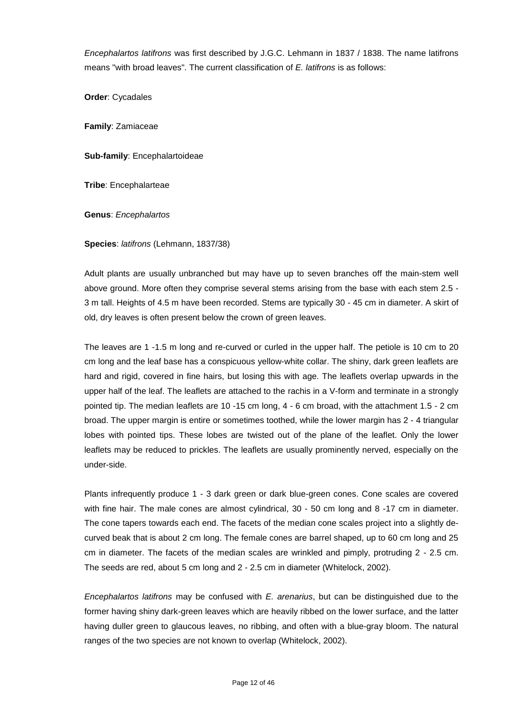*Encephalartos latifrons* was first described by J.G.C. Lehmann in 1837 / 1838. The name latifrons means "with broad leaves". The current classification of *E. latifrons* is as follows:

**Order**: Cycadales

**Family**: Zamiaceae

**Sub-family**: Encephalartoideae

**Tribe**: Encephalarteae

**Genus**: *Encephalartos*

**Species**: *latifrons* (Lehmann, 1837/38)

Adult plants are usually unbranched but may have up to seven branches off the main-stem well above ground. More often they comprise several stems arising from the base with each stem 2.5 - 3 m tall. Heights of 4.5 m have been recorded. Stems are typically 30 - 45 cm in diameter. A skirt of old, dry leaves is often present below the crown of green leaves.

The leaves are 1 -1.5 m long and re-curved or curled in the upper half. The petiole is 10 cm to 20 cm long and the leaf base has a conspicuous yellow-white collar. The shiny, dark green leaflets are hard and rigid, covered in fine hairs, but losing this with age. The leaflets overlap upwards in the upper half of the leaf. The leaflets are attached to the rachis in a V-form and terminate in a strongly pointed tip. The median leaflets are 10 -15 cm long, 4 - 6 cm broad, with the attachment 1.5 - 2 cm broad. The upper margin is entire or sometimes toothed, while the lower margin has 2 - 4 triangular lobes with pointed tips. These lobes are twisted out of the plane of the leaflet. Only the lower leaflets may be reduced to prickles. The leaflets are usually prominently nerved, especially on the under-side.

Plants infrequently produce 1 - 3 dark green or dark blue-green cones. Cone scales are covered with fine hair. The male cones are almost cylindrical, 30 - 50 cm long and 8 -17 cm in diameter. The cone tapers towards each end. The facets of the median cone scales project into a slightly decurved beak that is about 2 cm long. The female cones are barrel shaped, up to 60 cm long and 25 cm in diameter. The facets of the median scales are wrinkled and pimply, protruding 2 - 2.5 cm. The seeds are red, about 5 cm long and 2 - 2.5 cm in diameter (Whitelock, 2002).

*Encephalartos latifrons* may be confused with *E. arenarius*, but can be distinguished due to the former having shiny dark-green leaves which are heavily ribbed on the lower surface, and the latter having duller green to glaucous leaves, no ribbing, and often with a blue-gray bloom. The natural ranges of the two species are not known to overlap (Whitelock, 2002).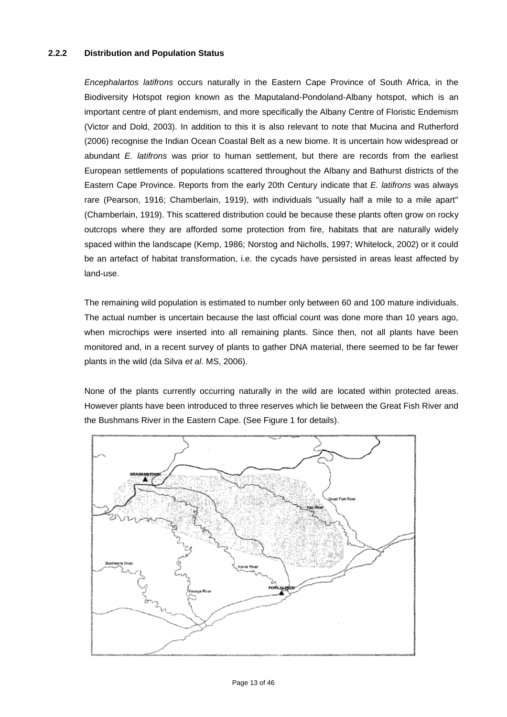### **2.2.2 Distribution and Population Status**

*Encephalartos latifrons* occurs naturally in the Eastern Cape Province of South Africa, in the Biodiversity Hotspot region known as the Maputaland-Pondoland-Albany hotspot, which is an important centre of plant endemism, and more specifically the Albany Centre of Floristic Endemism (Victor and Dold, 2003). In addition to this it is also relevant to note that Mucina and Rutherford (2006) recognise the Indian Ocean Coastal Belt as a new biome. It is uncertain how widespread or abundant *E. latifrons* was prior to human settlement, but there are records from the earliest European settlements of populations scattered throughout the Albany and Bathurst districts of the Eastern Cape Province. Reports from the early 20th Century indicate that *E. latifrons* was always rare (Pearson, 1916; Chamberlain, 1919), with individuals "usually half a mile to a mile apart" (Chamberlain, 1919). This scattered distribution could be because these plants often grow on rocky outcrops where they are afforded some protection from fire, habitats that are naturally widely spaced within the landscape (Kemp, 1986; Norstog and Nicholls, 1997; Whitelock, 2002) or it could be an artefact of habitat transformation, i.e. the cycads have persisted in areas least affected by land-use.

The remaining wild population is estimated to number only between 60 and 100 mature individuals. The actual number is uncertain because the last official count was done more than 10 years ago, when microchips were inserted into all remaining plants. Since then, not all plants have been monitored and, in a recent survey of plants to gather DNA material, there seemed to be far fewer plants in the wild (da Silva *et al*. MS, 2006).

None of the plants currently occurring naturally in the wild are located within protected areas. However plants have been introduced to three reserves which lie between the Great Fish River and the Bushmans River in the Eastern Cape. (See Figure 1 for details).

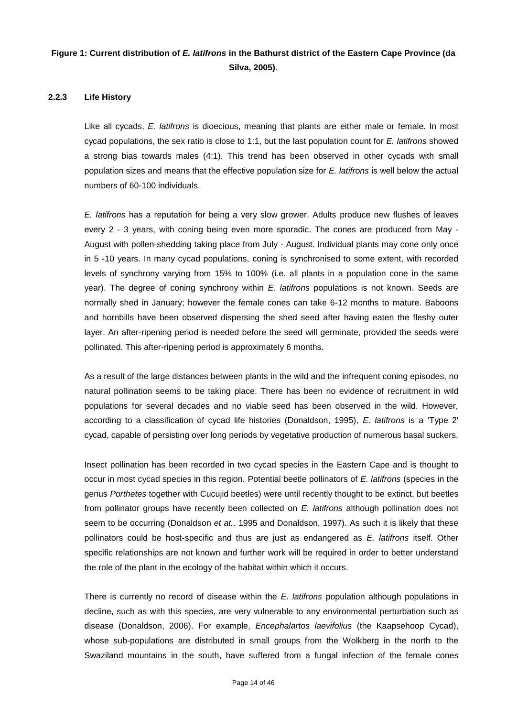# **Figure 1: Current distribution of** *E. latifrons* **in the Bathurst district of the Eastern Cape Province (da Silva, 2005).**

### **2.2.3 Life History**

Like all cycads, *E. latifrons* is dioecious, meaning that plants are either male or female. In most cycad populations, the sex ratio is close to 1:1, but the last population count for *E. latifrons* showed a strong bias towards males (4:1). This trend has been observed in other cycads with small population sizes and means that the effective population size for *E. latifrons* is well below the actual numbers of 60-100 individuals.

*E. latifrons* has a reputation for being a very slow grower. Adults produce new flushes of leaves every 2 - 3 years, with coning being even more sporadic. The cones are produced from May - August with pollen-shedding taking place from July - August. Individual plants may cone only once in 5 -10 years. In many cycad populations, coning is synchronised to some extent, with recorded levels of synchrony varying from 15% to 100% (i.e. all plants in a population cone in the same year). The degree of coning synchrony within *E. latifrons* populations is not known. Seeds are normally shed in January; however the female cones can take 6-12 months to mature. Baboons and hornbills have been observed dispersing the shed seed after having eaten the fleshy outer layer. An after-ripening period is needed before the seed will germinate, provided the seeds were pollinated. This after-ripening period is approximately 6 months.

As a result of the large distances between plants in the wild and the infrequent coning episodes, no natural pollination seems to be taking place. There has been no evidence of recruitment in wild populations for several decades and no viable seed has been observed in the wild. However, according to a classification of cycad life histories (Donaldson, 1995), *E. latifrons* is a "Type 2' cycad, capable of persisting over long periods by vegetative production of numerous basal suckers.

Insect pollination has been recorded in two cycad species in the Eastern Cape and is thought to occur in most cycad species in this region. Potential beetle pollinators of *E. latifrons* (species in the genus *Porthetes* together with Cucujid beetles) were until recently thought to be extinct, but beetles from pollinator groups have recently been collected on *E. latifrons* although pollination does not seem to be occurring (Donaldson *et at.,* 1995 and Donaldson, 1997). As such it is likely that these pollinators could be host-specific and thus are just as endangered as *E. latifrons* itself. Other specific relationships are not known and further work will be required in order to better understand the role of the plant in the ecology of the habitat within which it occurs.

There is currently no record of disease within the *E. latifrons* population although populations in decline, such as with this species, are very vulnerable to any environmental perturbation such as disease (Donaldson, 2006). For example, *Encephalartos laevifolius* (the Kaapsehoop Cycad), whose sub-populations are distributed in small groups from the Wolkberg in the north to the Swaziland mountains in the south, have suffered from a fungal infection of the female cones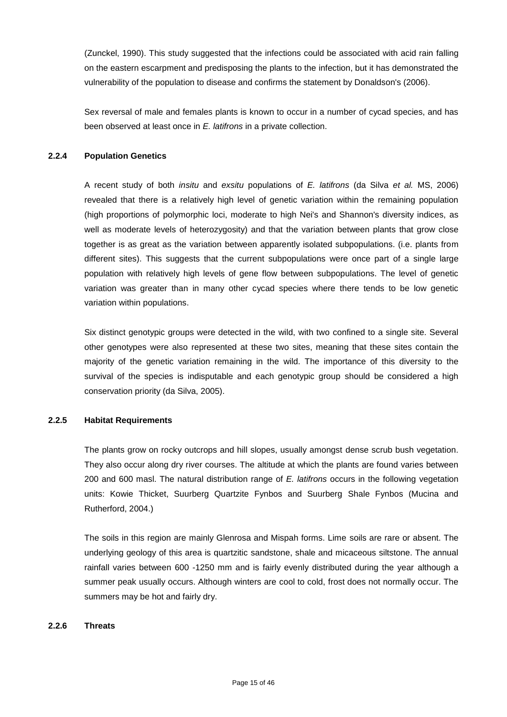(Zunckel, 1990). This study suggested that the infections could be associated with acid rain falling on the eastern escarpment and predisposing the plants to the infection, but it has demonstrated the vulnerability of the population to disease and confirms the statement by Donaldson's (2006).

Sex reversal of male and females plants is known to occur in a number of cycad species, and has been observed at least once in *E. latifrons* in a private collection.

## **2.2.4 Population Genetics**

A recent study of both *insitu* and *exsitu* populations of *E. latifrons* (da Silva *et al.* MS, 2006) revealed that there is a relatively high level of genetic variation within the remaining population (high proportions of polymorphic loci, moderate to high Nei's and Shannon's diversity indices, as well as moderate levels of heterozygosity) and that the variation between plants that grow close together is as great as the variation between apparently isolated subpopulations. (i.e. plants from different sites). This suggests that the current subpopulations were once part of a single large population with relatively high levels of gene flow between subpopulations. The level of genetic variation was greater than in many other cycad species where there tends to be low genetic variation within populations.

Six distinct genotypic groups were detected in the wild, with two confined to a single site. Several other genotypes were also represented at these two sites, meaning that these sites contain the majority of the genetic variation remaining in the wild. The importance of this diversity to the survival of the species is indisputable and each genotypic group should be considered a high conservation priority (da Silva, 2005).

### **2.2.5 Habitat Requirements**

The plants grow on rocky outcrops and hill slopes, usually amongst dense scrub bush vegetation. They also occur along dry river courses. The altitude at which the plants are found varies between 200 and 600 masl. The natural distribution range of *E. latifrons* occurs in the following vegetation units: Kowie Thicket, Suurberg Quartzite Fynbos and Suurberg Shale Fynbos (Mucina and Rutherford, 2004.)

The soils in this region are mainly Glenrosa and Mispah forms. Lime soils are rare or absent. The underlying geology of this area is quartzitic sandstone, shale and micaceous siltstone. The annual rainfall varies between 600 -1250 mm and is fairly evenly distributed during the year although a summer peak usually occurs. Although winters are cool to cold, frost does not normally occur. The summers may be hot and fairly dry.

### **2.2.6 Threats**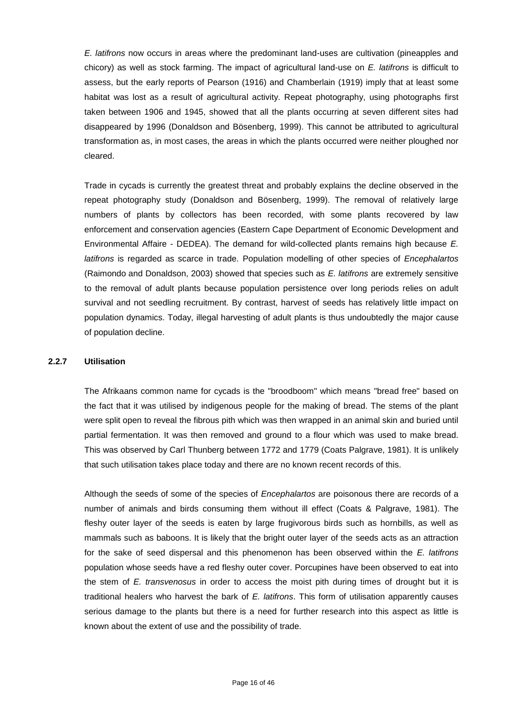*E. latifrons* now occurs in areas where the predominant land-uses are cultivation (pineapples and chicory) as well as stock farming. The impact of agricultural land-use on *E. latifrons* is difficult to assess, but the early reports of Pearson (1916) and Chamberlain (1919) imply that at least some habitat was lost as a result of agricultural activity. Repeat photography, using photographs first taken between 1906 and 1945, showed that all the plants occurring at seven different sites had disappeared by 1996 (Donaldson and Bösenberg, 1999). This cannot be attributed to agricultural transformation as, in most cases, the areas in which the plants occurred were neither ploughed nor cleared.

Trade in cycads is currently the greatest threat and probably explains the decline observed in the repeat photography study (Donaldson and Bösenberg, 1999). The removal of relatively large numbers of plants by collectors has been recorded, with some plants recovered by law enforcement and conservation agencies (Eastern Cape Department of Economic Development and Environmental Affaire - DEDEA). The demand for wild-collected plants remains high because *E. latifrons* is regarded as scarce in trade. Population modelling of other species of *Encephalartos* (Raimondo and Donaldson, 2003) showed that species such as *E. latifrons* are extremely sensitive to the removal of adult plants because population persistence over long periods relies on adult survival and not seedling recruitment. By contrast, harvest of seeds has relatively little impact on population dynamics. Today, illegal harvesting of adult plants is thus undoubtedly the major cause of population decline.

### **2.2.7 Utilisation**

The Afrikaans common name for cycads is the "broodboom" which means "bread free" based on the fact that it was utilised by indigenous people for the making of bread. The stems of the plant were split open to reveal the fibrous pith which was then wrapped in an animal skin and buried until partial fermentation. It was then removed and ground to a flour which was used to make bread. This was observed by Carl Thunberg between 1772 and 1779 (Coats Palgrave, 1981). It is unlikely that such utilisation takes place today and there are no known recent records of this.

Although the seeds of some of the species of *Encephalartos* are poisonous there are records of a number of animals and birds consuming them without ill effect (Coats & Palgrave, 1981). The fleshy outer layer of the seeds is eaten by large frugivorous birds such as hornbills, as well as mammals such as baboons. It is likely that the bright outer layer of the seeds acts as an attraction for the sake of seed dispersal and this phenomenon has been observed within the *E. latifrons* population whose seeds have a red fleshy outer cover. Porcupines have been observed to eat into the stem of *E. transvenosus* in order to access the moist pith during times of drought but it is traditional healers who harvest the bark of *E. latifrons*. This form of utilisation apparently causes serious damage to the plants but there is a need for further research into this aspect as little is known about the extent of use and the possibility of trade.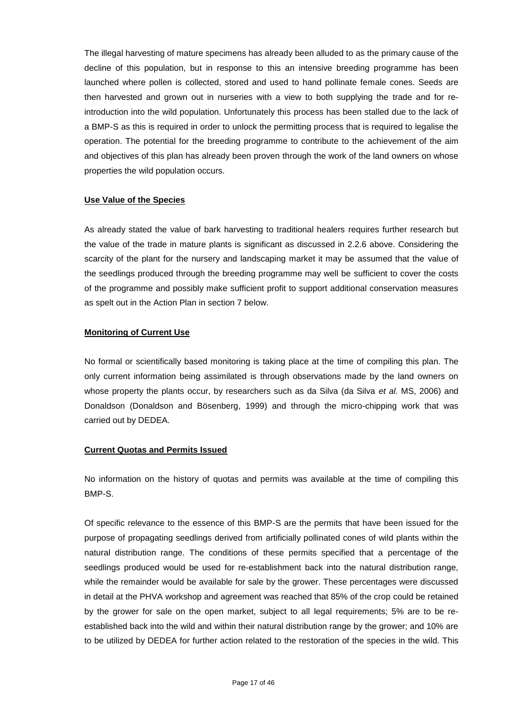The illegal harvesting of mature specimens has already been alluded to as the primary cause of the decline of this population, but in response to this an intensive breeding programme has been launched where pollen is collected, stored and used to hand pollinate female cones. Seeds are then harvested and grown out in nurseries with a view to both supplying the trade and for reintroduction into the wild population. Unfortunately this process has been stalled due to the lack of a BMP-S as this is required in order to unlock the permitting process that is required to legalise the operation. The potential for the breeding programme to contribute to the achievement of the aim and objectives of this plan has already been proven through the work of the land owners on whose properties the wild population occurs.

### **Use Value of the Species**

As already stated the value of bark harvesting to traditional healers requires further research but the value of the trade in mature plants is significant as discussed in 2.2.6 above. Considering the scarcity of the plant for the nursery and landscaping market it may be assumed that the value of the seedlings produced through the breeding programme may well be sufficient to cover the costs of the programme and possibly make sufficient profit to support additional conservation measures as spelt out in the Action Plan in section 7 below.

#### **Monitoring of Current Use**

No formal or scientifically based monitoring is taking place at the time of compiling this plan. The only current information being assimilated is through observations made by the land owners on whose property the plants occur, by researchers such as da Silva (da Silva *et al.* MS, 2006) and Donaldson (Donaldson and Bösenberg, 1999) and through the micro-chipping work that was carried out by DEDEA.

### **Current Quotas and Permits Issued**

No information on the history of quotas and permits was available at the time of compiling this BMP-S.

Of specific relevance to the essence of this BMP-S are the permits that have been issued for the purpose of propagating seedlings derived from artificially pollinated cones of wild plants within the natural distribution range. The conditions of these permits specified that a percentage of the seedlings produced would be used for re-establishment back into the natural distribution range, while the remainder would be available for sale by the grower. These percentages were discussed in detail at the PHVA workshop and agreement was reached that 85% of the crop could be retained by the grower for sale on the open market, subject to all legal requirements; 5% are to be reestablished back into the wild and within their natural distribution range by the grower; and 10% are to be utilized by DEDEA for further action related to the restoration of the species in the wild. This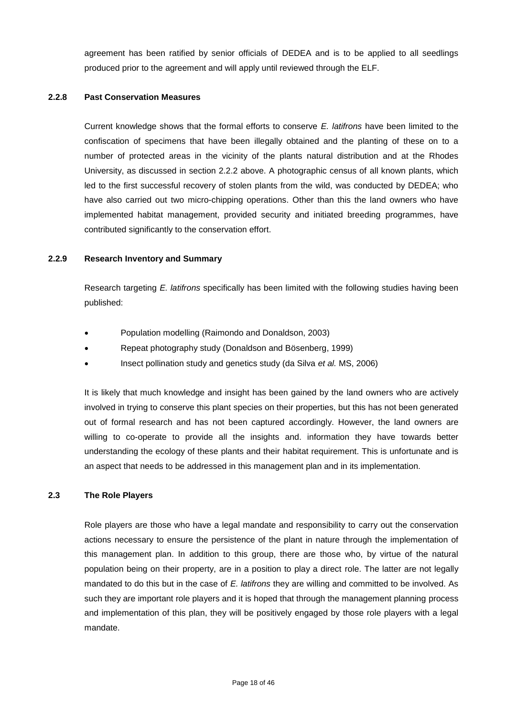agreement has been ratified by senior officials of DEDEA and is to be applied to all seedlings produced prior to the agreement and will apply until reviewed through the ELF.

### **2.2.8 Past Conservation Measures**

Current knowledge shows that the formal efforts to conserve *E. latifrons* have been limited to the confiscation of specimens that have been illegally obtained and the planting of these on to a number of protected areas in the vicinity of the plants natural distribution and at the Rhodes University, as discussed in section 2.2.2 above. A photographic census of all known plants, which led to the first successful recovery of stolen plants from the wild, was conducted by DEDEA; who have also carried out two micro-chipping operations. Other than this the land owners who have implemented habitat management, provided security and initiated breeding programmes, have contributed significantly to the conservation effort.

#### **2.2.9 Research Inventory and Summary**

Research targeting *E. latifrons* specifically has been limited with the following studies having been published:

- Population modelling (Raimondo and Donaldson, 2003)
- Repeat photography study (Donaldson and Bösenberg, 1999)
- Insect pollination study and genetics study (da Silva *et al.* MS, 2006)

It is likely that much knowledge and insight has been gained by the land owners who are actively involved in trying to conserve this plant species on their properties, but this has not been generated out of formal research and has not been captured accordingly. However, the land owners are willing to co-operate to provide all the insights and. information they have towards better understanding the ecology of these plants and their habitat requirement. This is unfortunate and is an aspect that needs to be addressed in this management plan and in its implementation.

### **2.3 The Role Players**

Role players are those who have a legal mandate and responsibility to carry out the conservation actions necessary to ensure the persistence of the plant in nature through the implementation of this management plan. In addition to this group, there are those who, by virtue of the natural population being on their property, are in a position to play a direct role. The latter are not legally mandated to do this but in the case of *E. latifrons* they are willing and committed to be involved. As such they are important role players and it is hoped that through the management planning process and implementation of this plan, they will be positively engaged by those role players with a legal mandate.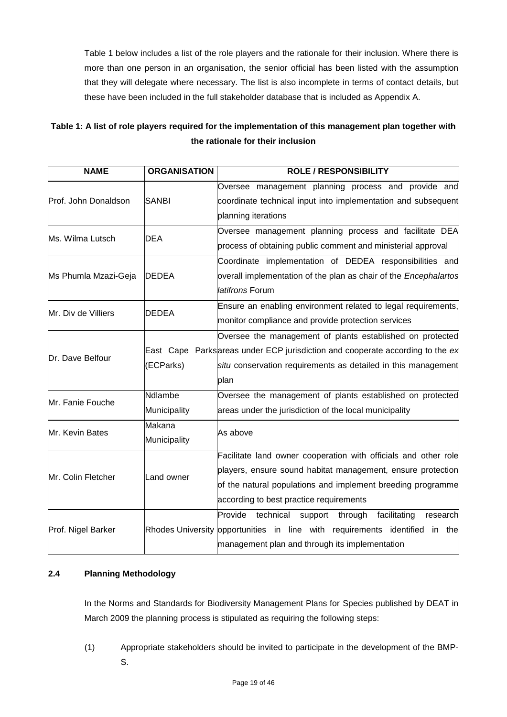Table 1 below includes a list of the role players and the rationale for their inclusion. Where there is more than one person in an organisation, the senior official has been listed with the assumption that they will delegate where necessary. The list is also incomplete in terms of contact details, but these have been included in the full stakeholder database that is included as Appendix A.

# **Table 1: A list of role players required for the implementation of this management plan together with the rationale for their inclusion**

| <b>NAME</b>          | <b>ORGANISATION</b>     | <b>ROLE / RESPONSIBILITY</b>                                                                                                                                                                                                             |
|----------------------|-------------------------|------------------------------------------------------------------------------------------------------------------------------------------------------------------------------------------------------------------------------------------|
| Prof. John Donaldson | <b>SANBI</b>            | Oversee management planning process and provide and<br>coordinate technical input into implementation and subsequent<br>planning iterations                                                                                              |
| Ms. Wilma Lutsch     | <b>DEA</b>              | Oversee management planning process and facilitate DEA<br>process of obtaining public comment and ministerial approval                                                                                                                   |
| Ms Phumla Mzazi-Geja | <b>DEDEA</b>            | Coordinate implementation of DEDEA responsibilities and<br>overall implementation of the plan as chair of the <i>Encephalartos</i><br>latifrons Forum                                                                                    |
| Mr. Div de Villiers  | <b>DEDEA</b>            | Ensure an enabling environment related to legal requirements,<br>monitor compliance and provide protection services                                                                                                                      |
| Dr. Dave Belfour     | (ECParks)               | Oversee the management of plants established on protected<br>East Cape Parks areas under ECP jurisdiction and cooperate according to the ex<br>situ conservation requirements as detailed in this management<br>plan                     |
| Mr. Fanie Fouche     | Ndlambe<br>Municipality | Oversee the management of plants established on protected<br>areas under the jurisdiction of the local municipality                                                                                                                      |
| Mr. Kevin Bates      | Makana<br>Municipality  | As above                                                                                                                                                                                                                                 |
| Mr. Colin Fletcher   | Land owner              | Facilitate land owner cooperation with officials and other role<br>players, ensure sound habitat management, ensure protection<br>of the natural populations and implement breeding programme<br>according to best practice requirements |
| Prof. Nigel Barker   |                         | Provide technical<br>facilitating<br>through<br>support<br>research<br>Rhodes University opportunities in line with requirements identified<br>in the<br>management plan and through its implementation                                  |

# **2.4 Planning Methodology**

In the Norms and Standards for Biodiversity Management Plans for Species published by DEAT in March 2009 the planning process is stipulated as requiring the following steps:

(1) Appropriate stakeholders should be invited to participate in the development of the BMP-S.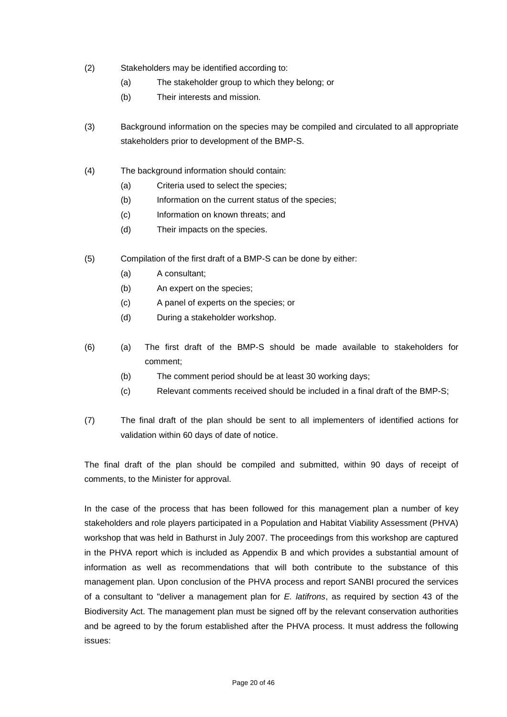- (2) Stakeholders may be identified according to:
	- (a) The stakeholder group to which they belong; or
	- (b) Their interests and mission.
- (3) Background information on the species may be compiled and circulated to all appropriate stakeholders prior to development of the BMP-S.
- (4) The background information should contain:
	- (a) Criteria used to select the species;
	- (b) Information on the current status of the species;
	- (c) Information on known threats; and
	- (d) Their impacts on the species.
- (5) Compilation of the first draft of a BMP-S can be done by either:
	- (a) A consultant;
	- (b) An expert on the species;
	- (c) A panel of experts on the species; or
	- (d) During a stakeholder workshop.
- (6) (a) The first draft of the BMP-S should be made available to stakeholders for comment;
	- (b) The comment period should be at least 30 working days;
	- (c) Relevant comments received should be included in a final draft of the BMP-S;
- (7) The final draft of the plan should be sent to all implementers of identified actions for validation within 60 days of date of notice.

The final draft of the plan should be compiled and submitted, within 90 days of receipt of comments, to the Minister for approval.

In the case of the process that has been followed for this management plan a number of key stakeholders and role players participated in a Population and Habitat Viability Assessment (PHVA) workshop that was held in Bathurst in July 2007. The proceedings from this workshop are captured in the PHVA report which is included as Appendix B and which provides a substantial amount of information as well as recommendations that will both contribute to the substance of this management plan. Upon conclusion of the PHVA process and report SANBI procured the services of a consultant to "deliver a management plan for *E. latifrons*, as required by section 43 of the Biodiversity Act. The management plan must be signed off by the relevant conservation authorities and be agreed to by the forum established after the PHVA process. It must address the following issues: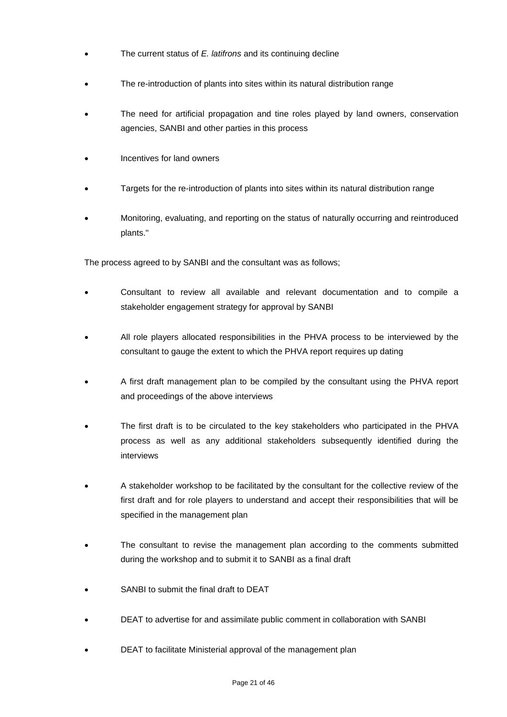- The current status of *E. latifrons* and its continuing decline
- The re-introduction of plants into sites within its natural distribution range
- The need for artificial propagation and tine roles played by land owners, conservation agencies, SANBI and other parties in this process
- Incentives for land owners
- Targets for the re-introduction of plants into sites within its natural distribution range
- Monitoring, evaluating, and reporting on the status of naturally occurring and reintroduced plants."

The process agreed to by SANBI and the consultant was as follows;

- Consultant to review all available and relevant documentation and to compile a stakeholder engagement strategy for approval by SANBI
- All role players allocated responsibilities in the PHVA process to be interviewed by the consultant to gauge the extent to which the PHVA report requires up dating
- A first draft management plan to be compiled by the consultant using the PHVA report and proceedings of the above interviews
- The first draft is to be circulated to the key stakeholders who participated in the PHVA process as well as any additional stakeholders subsequently identified during the interviews
- A stakeholder workshop to be facilitated by the consultant for the collective review of the first draft and for role players to understand and accept their responsibilities that will be specified in the management plan
- The consultant to revise the management plan according to the comments submitted during the workshop and to submit it to SANBI as a final draft
- SANBI to submit the final draft to DEAT
- DEAT to advertise for and assimilate public comment in collaboration with SANBI
- DEAT to facilitate Ministerial approval of the management plan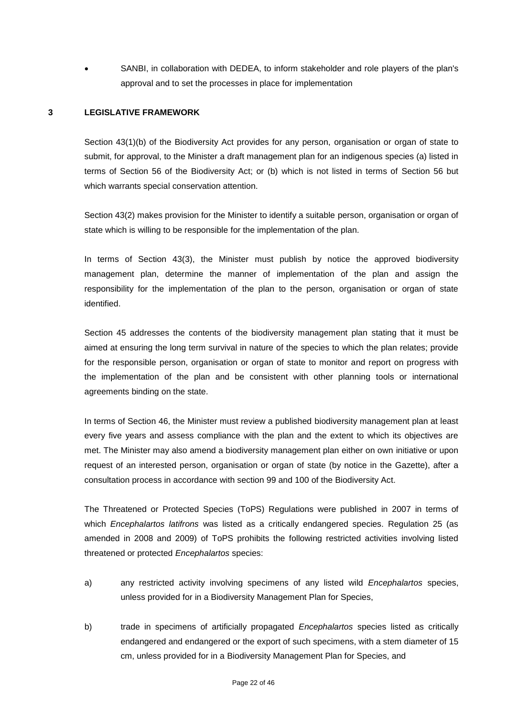SANBI, in collaboration with DEDEA, to inform stakeholder and role players of the plan's approval and to set the processes in place for implementation

### **3 LEGISLATIVE FRAMEWORK**

Section 43(1)(b) of the Biodiversity Act provides for any person, organisation or organ of state to submit, for approval, to the Minister a draft management plan for an indigenous species (a) listed in terms of Section 56 of the Biodiversity Act; or (b) which is not listed in terms of Section 56 but which warrants special conservation attention.

Section 43(2) makes provision for the Minister to identify a suitable person, organisation or organ of state which is willing to be responsible for the implementation of the plan.

In terms of Section 43(3), the Minister must publish by notice the approved biodiversity management plan, determine the manner of implementation of the plan and assign the responsibility for the implementation of the plan to the person, organisation or organ of state identified.

Section 45 addresses the contents of the biodiversity management plan stating that it must be aimed at ensuring the long term survival in nature of the species to which the plan relates; provide for the responsible person, organisation or organ of state to monitor and report on progress with the implementation of the plan and be consistent with other planning tools or international agreements binding on the state.

In terms of Section 46, the Minister must review a published biodiversity management plan at least every five years and assess compliance with the plan and the extent to which its objectives are met. The Minister may also amend a biodiversity management plan either on own initiative or upon request of an interested person, organisation or organ of state (by notice in the Gazette), after a consultation process in accordance with section 99 and 100 of the Biodiversity Act.

The Threatened or Protected Species (ToPS) Regulations were published in 2007 in terms of which *Encephalartos latifrons* was listed as a critically endangered species. Regulation 25 (as amended in 2008 and 2009) of ToPS prohibits the following restricted activities involving listed threatened or protected *Encephalartos* species:

- a) any restricted activity involving specimens of any listed wild *Encephalartos* species, unless provided for in a Biodiversity Management Plan for Species,
- b) trade in specimens of artificially propagated *Encephalartos* species listed as critically endangered and endangered or the export of such specimens, with a stem diameter of 15 cm, unless provided for in a Biodiversity Management Plan for Species, and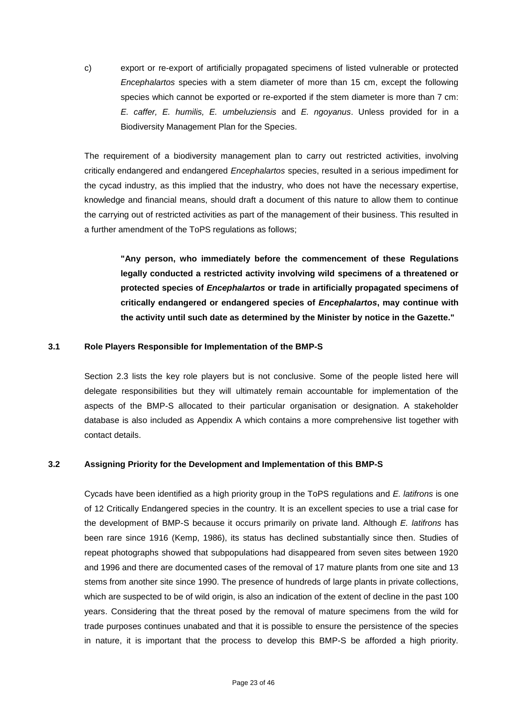c) export or re-export of artificially propagated specimens of listed vulnerable or protected *Encephalartos* species with a stem diameter of more than 15 cm, except the following species which cannot be exported or re-exported if the stem diameter is more than 7 cm: *E. caffer, E. humilis, E. umbeluziensis* and *E. ngoyanus*. Unless provided for in a Biodiversity Management Plan for the Species.

The requirement of a biodiversity management plan to carry out restricted activities, involving critically endangered and endangered *Encephalartos* species, resulted in a serious impediment for the cycad industry, as this implied that the industry, who does not have the necessary expertise, knowledge and financial means, should draft a document of this nature to allow them to continue the carrying out of restricted activities as part of the management of their business. This resulted in a further amendment of the ToPS regulations as follows;

**"Any person, who immediately before the commencement of these Regulations legally conducted a restricted activity involving wild specimens of a threatened or protected species of** *Encephalartos* **or trade in artificially propagated specimens of critically endangered or endangered species of** *Encephalartos***, may continue with the activity until such date as determined by the Minister by notice in the Gazette."**

#### **3.1 Role Players Responsible for Implementation of the BMP-S**

Section 2.3 lists the key role players but is not conclusive. Some of the people listed here will delegate responsibilities but they will ultimately remain accountable for implementation of the aspects of the BMP-S allocated to their particular organisation or designation. A stakeholder database is also included as Appendix A which contains a more comprehensive list together with contact details.

#### **3.2 Assigning Priority for the Development and Implementation of this BMP-S**

Cycads have been identified as a high priority group in the ToPS regulations and *E. latifrons* is one of 12 Critically Endangered species in the country. It is an excellent species to use a trial case for the development of BMP-S because it occurs primarily on private land. Although *E. latifrons* has been rare since 1916 (Kemp, 1986), its status has declined substantially since then. Studies of repeat photographs showed that subpopulations had disappeared from seven sites between 1920 and 1996 and there are documented cases of the removal of 17 mature plants from one site and 13 stems from another site since 1990. The presence of hundreds of large plants in private collections, which are suspected to be of wild origin, is also an indication of the extent of decline in the past 100 years. Considering that the threat posed by the removal of mature specimens from the wild for trade purposes continues unabated and that it is possible to ensure the persistence of the species in nature, it is important that the process to develop this BMP-S be afforded a high priority.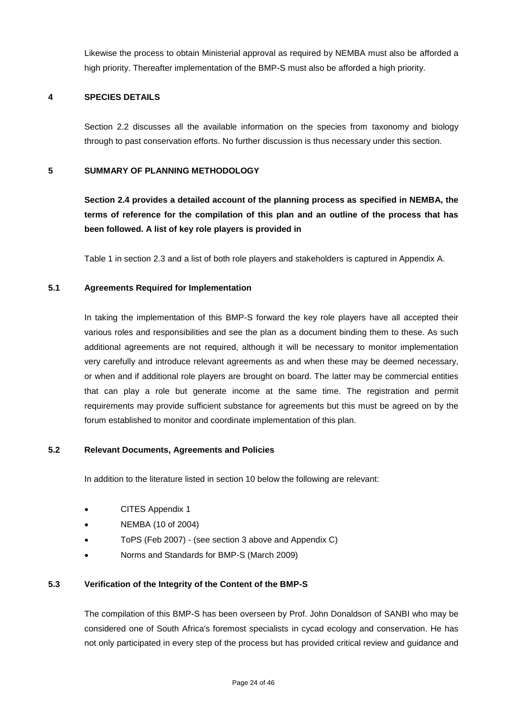Likewise the process to obtain Ministerial approval as required by NEMBA must also be afforded a high priority. Thereafter implementation of the BMP-S must also be afforded a high priority.

### **4 SPECIES DETAILS**

Section 2.2 discusses all the available information on the species from taxonomy and biology through to past conservation efforts. No further discussion is thus necessary under this section.

## **5 SUMMARY OF PLANNING METHODOLOGY**

**Section 2.4 provides a detailed account of the planning process as specified in NEMBA, the terms of reference for the compilation of this plan and an outline of the process that has been followed. A list of key role players is provided in**

Table 1 in section 2.3 and a list of both role players and stakeholders is captured in Appendix A.

### **5.1 Agreements Required for Implementation**

In taking the implementation of this BMP-S forward the key role players have all accepted their various roles and responsibilities and see the plan as a document binding them to these. As such additional agreements are not required, although it will be necessary to monitor implementation very carefully and introduce relevant agreements as and when these may be deemed necessary, or when and if additional role players are brought on board. The latter may be commercial entities that can play a role but generate income at the same time. The registration and permit requirements may provide sufficient substance for agreements but this must be agreed on by the forum established to monitor and coordinate implementation of this plan.

### **5.2 Relevant Documents, Agreements and Policies**

In addition to the literature listed in section 10 below the following are relevant:

- CITES Appendix 1
- NEMBA (10 of 2004)
- ToPS (Feb 2007) (see section 3 above and Appendix C)
- Norms and Standards for BMP-S (March 2009)

### **5.3 Verification of the Integrity of the Content of the BMP-S**

The compilation of this BMP-S has been overseen by Prof. John Donaldson of SANBI who may be considered one of South Africa's foremost specialists in cycad ecology and conservation. He has not only participated in every step of the process but has provided critical review and guidance and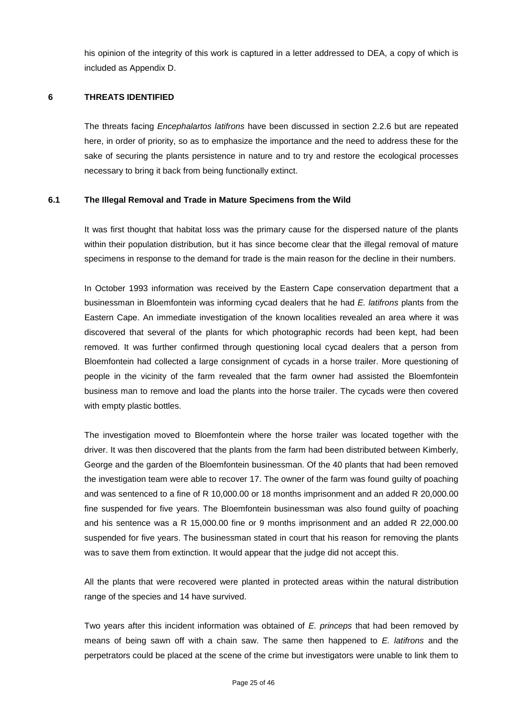his opinion of the integrity of this work is captured in a letter addressed to DEA, a copy of which is included as Appendix D.

### **6 THREATS IDENTIFIED**

The threats facing *Encephalartos latifrons* have been discussed in section 2.2.6 but are repeated here, in order of priority, so as to emphasize the importance and the need to address these for the sake of securing the plants persistence in nature and to try and restore the ecological processes necessary to bring it back from being functionally extinct.

### **6.1 The Illegal Removal and Trade in Mature Specimens from the Wild**

It was first thought that habitat loss was the primary cause for the dispersed nature of the plants within their population distribution, but it has since become clear that the illegal removal of mature specimens in response to the demand for trade is the main reason for the decline in their numbers.

In October 1993 information was received by the Eastern Cape conservation department that a businessman in Bloemfontein was informing cycad dealers that he had *E. latifrons* plants from the Eastern Cape. An immediate investigation of the known localities revealed an area where it was discovered that several of the plants for which photographic records had been kept, had been removed. It was further confirmed through questioning local cycad dealers that a person from Bloemfontein had collected a large consignment of cycads in a horse trailer. More questioning of people in the vicinity of the farm revealed that the farm owner had assisted the Bloemfontein business man to remove and load the plants into the horse trailer. The cycads were then covered with empty plastic bottles.

The investigation moved to Bloemfontein where the horse trailer was located together with the driver. It was then discovered that the plants from the farm had been distributed between Kimberly, George and the garden of the Bloemfontein businessman. Of the 40 plants that had been removed the investigation team were able to recover 17. The owner of the farm was found guilty of poaching and was sentenced to a fine of R 10,000.00 or 18 months imprisonment and an added R 20,000.00 fine suspended for five years. The Bloemfontein businessman was also found guilty of poaching and his sentence was a R 15,000.00 fine or 9 months imprisonment and an added R 22,000.00 suspended for five years. The businessman stated in court that his reason for removing the plants was to save them from extinction. It would appear that the judge did not accept this.

All the plants that were recovered were planted in protected areas within the natural distribution range of the species and 14 have survived.

Two years after this incident information was obtained of *E. princeps* that had been removed by means of being sawn off with a chain saw. The same then happened to *E. latifrons* and the perpetrators could be placed at the scene of the crime but investigators were unable to link them to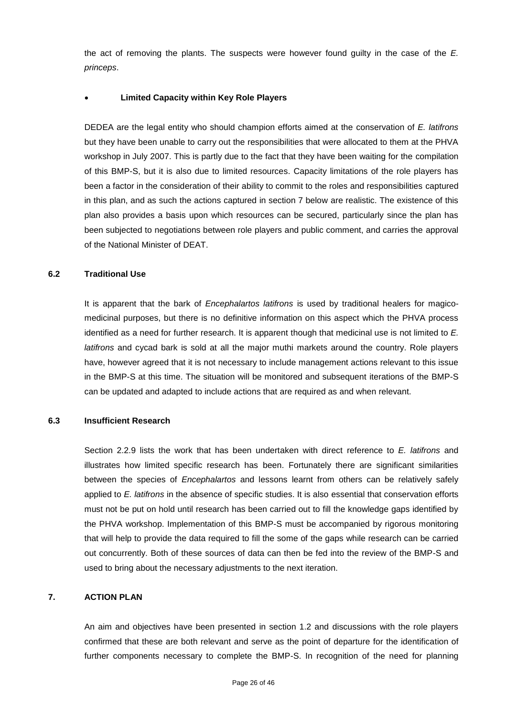the act of removing the plants. The suspects were however found guilty in the case of the *E. princeps*.

## **Limited Capacity within Key Role Players**

DEDEA are the legal entity who should champion efforts aimed at the conservation of *E. latifrons* but they have been unable to carry out the responsibilities that were allocated to them at the PHVA workshop in July 2007. This is partly due to the fact that they have been waiting for the compilation of this BMP-S, but it is also due to limited resources. Capacity limitations of the role players has been a factor in the consideration of their ability to commit to the roles and responsibilities captured in this plan, and as such the actions captured in section 7 below are realistic. The existence of this plan also provides a basis upon which resources can be secured, particularly since the plan has been subjected to negotiations between role players and public comment, and carries the approval of the National Minister of DEAT.

### **6.2 Traditional Use**

It is apparent that the bark of *Encephalartos latifrons* is used by traditional healers for magicomedicinal purposes, but there is no definitive information on this aspect which the PHVA process identified as a need for further research. It is apparent though that medicinal use is not limited to *E. latifrons* and cycad bark is sold at all the major muthi markets around the country. Role players have, however agreed that it is not necessary to include management actions relevant to this issue in the BMP-S at this time. The situation will be monitored and subsequent iterations of the BMP-S can be updated and adapted to include actions that are required as and when relevant.

### **6.3 Insufficient Research**

Section 2.2.9 lists the work that has been undertaken with direct reference to *E. latifrons* and illustrates how limited specific research has been. Fortunately there are significant similarities between the species of *Encephalartos* and lessons learnt from others can be relatively safely applied to *E. latifrons* in the absence of specific studies. It is also essential that conservation efforts must not be put on hold until research has been carried out to fill the knowledge gaps identified by the PHVA workshop. Implementation of this BMP-S must be accompanied by rigorous monitoring that will help to provide the data required to fill the some of the gaps while research can be carried out concurrently. Both of these sources of data can then be fed into the review of the BMP-S and used to bring about the necessary adjustments to the next iteration.

## **7. ACTION PLAN**

An aim and objectives have been presented in section 1.2 and discussions with the role players confirmed that these are both relevant and serve as the point of departure for the identification of further components necessary to complete the BMP-S. In recognition of the need for planning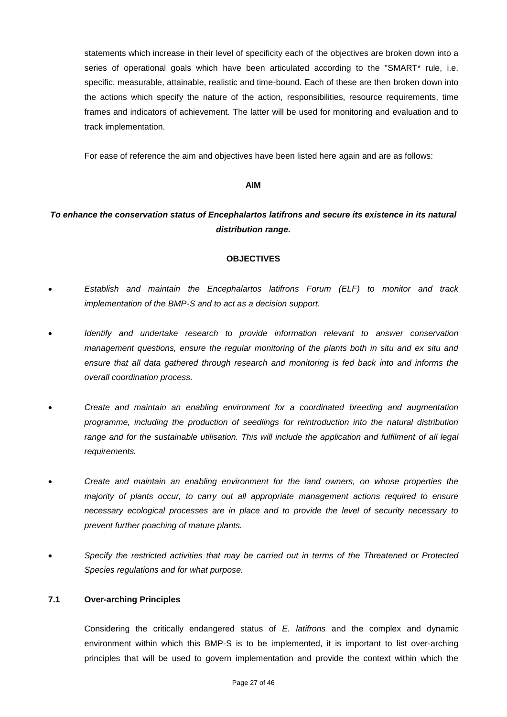statements which increase in their level of specificity each of the objectives are broken down into a series of operational goals which have been articulated according to the "SMART\* rule, i.e. specific, measurable, attainable, realistic and time-bound. Each of these are then broken down into the actions which specify the nature of the action, responsibilities, resource requirements, time frames and indicators of achievement. The latter will be used for monitoring and evaluation and to track implementation.

For ease of reference the aim and objectives have been listed here again and are as follows:

### **AIM**

# *To enhance the conservation status of Encephalartos latifrons and secure its existence in its natural distribution range.*

#### **OBJECTIVES**

- *Establish and maintain the Encephalartos latifrons Forum (ELF) to monitor and track implementation of the BMP-S and to act as a decision support.*
- *Identify and undertake research to provide information relevant to answer conservation management questions, ensure the regular monitoring of the plants both in situ and ex situ and ensure that all data gathered through research and monitoring is fed back into and informs the overall coordination process.*
- *Create and maintain an enabling environment for a coordinated breeding and augmentation programme, including the production of seedlings for reintroduction into the natural distribution range and for the sustainable utilisation. This will include the application and fulfilment of all legal requirements.*
- *Create and maintain an enabling environment for the land owners, on whose properties the majority of plants occur, to carry out all appropriate management actions required to ensure necessary ecological processes are in place and to provide the level of security necessary to prevent further poaching of mature plants.*
- *Specify the restricted activities that may be carried out in terms of the Threatened or Protected Species regulations and for what purpose.*

### **7.1 Over-arching Principles**

Considering the critically endangered status of *E. latifrons* and the complex and dynamic environment within which this BMP-S is to be implemented, it is important to list over-arching principles that will be used to govern implementation and provide the context within which the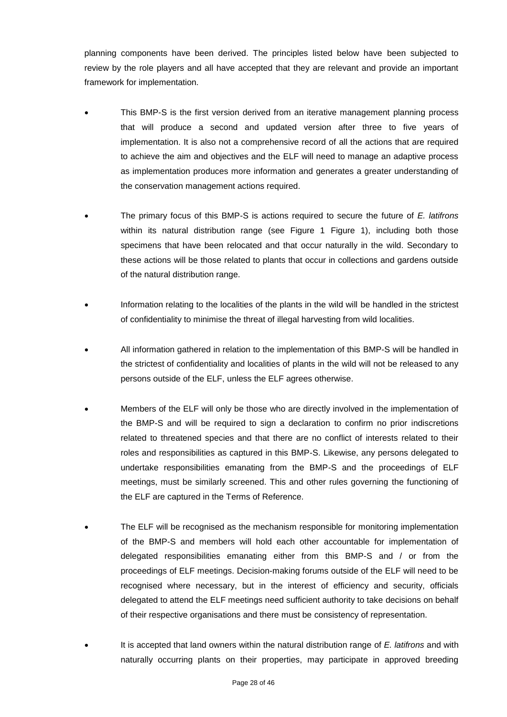planning components have been derived. The principles listed below have been subjected to review by the role players and all have accepted that they are relevant and provide an important framework for implementation.

- This BMP-S is the first version derived from an iterative management planning process that will produce a second and updated version after three to five years of implementation. It is also not a comprehensive record of all the actions that are required to achieve the aim and objectives and the ELF will need to manage an adaptive process as implementation produces more information and generates a greater understanding of the conservation management actions required.
- The primary focus of this BMP-S is actions required to secure the future of *E. latifrons* within its natural distribution range (see Figure 1 Figure 1), including both those specimens that have been relocated and that occur naturally in the wild. Secondary to these actions will be those related to plants that occur in collections and gardens outside of the natural distribution range.
- Information relating to the localities of the plants in the wild will be handled in the strictest of confidentiality to minimise the threat of illegal harvesting from wild localities.
- All information gathered in relation to the implementation of this BMP-S will be handled in the strictest of confidentiality and localities of plants in the wild will not be released to any persons outside of the ELF, unless the ELF agrees otherwise.
- Members of the ELF will only be those who are directly involved in the implementation of the BMP-S and will be required to sign a declaration to confirm no prior indiscretions related to threatened species and that there are no conflict of interests related to their roles and responsibilities as captured in this BMP-S. Likewise, any persons delegated to undertake responsibilities emanating from the BMP-S and the proceedings of ELF meetings, must be similarly screened. This and other rules governing the functioning of the ELF are captured in the Terms of Reference.
- The ELF will be recognised as the mechanism responsible for monitoring implementation of the BMP-S and members will hold each other accountable for implementation of delegated responsibilities emanating either from this BMP-S and / or from the proceedings of ELF meetings. Decision-making forums outside of the ELF will need to be recognised where necessary, but in the interest of efficiency and security, officials delegated to attend the ELF meetings need sufficient authority to take decisions on behalf of their respective organisations and there must be consistency of representation.
- It is accepted that land owners within the natural distribution range of *E. latifrons* and with naturally occurring plants on their properties, may participate in approved breeding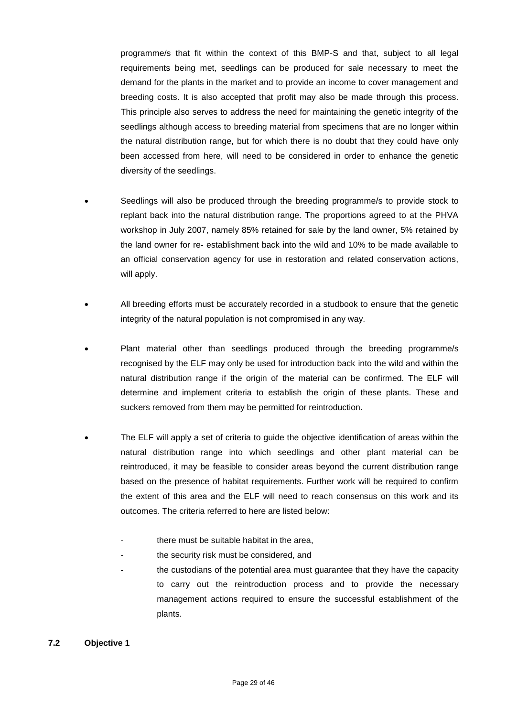programme/s that fit within the context of this BMP-S and that, subject to all legal requirements being met, seedlings can be produced for sale necessary to meet the demand for the plants in the market and to provide an income to cover management and breeding costs. It is also accepted that profit may also be made through this process. This principle also serves to address the need for maintaining the genetic integrity of the seedlings although access to breeding material from specimens that are no longer within the natural distribution range, but for which there is no doubt that they could have only been accessed from here, will need to be considered in order to enhance the genetic diversity of the seedlings.

- Seedlings will also be produced through the breeding programme/s to provide stock to replant back into the natural distribution range. The proportions agreed to at the PHVA workshop in July 2007, namely 85% retained for sale by the land owner, 5% retained by the land owner for re- establishment back into the wild and 10% to be made available to an official conservation agency for use in restoration and related conservation actions, will apply.
- All breeding efforts must be accurately recorded in a studbook to ensure that the genetic integrity of the natural population is not compromised in any way.
- Plant material other than seedlings produced through the breeding programme/s recognised by the ELF may only be used for introduction back into the wild and within the natural distribution range if the origin of the material can be confirmed. The ELF will determine and implement criteria to establish the origin of these plants. These and suckers removed from them may be permitted for reintroduction.
- The ELF will apply a set of criteria to guide the objective identification of areas within the natural distribution range into which seedlings and other plant material can be reintroduced, it may be feasible to consider areas beyond the current distribution range based on the presence of habitat requirements. Further work will be required to confirm the extent of this area and the ELF will need to reach consensus on this work and its outcomes. The criteria referred to here are listed below:
	- there must be suitable habitat in the area.
	- the security risk must be considered, and
	- the custodians of the potential area must guarantee that they have the capacity to carry out the reintroduction process and to provide the necessary management actions required to ensure the successful establishment of the plants.

### **7.2 Objective 1**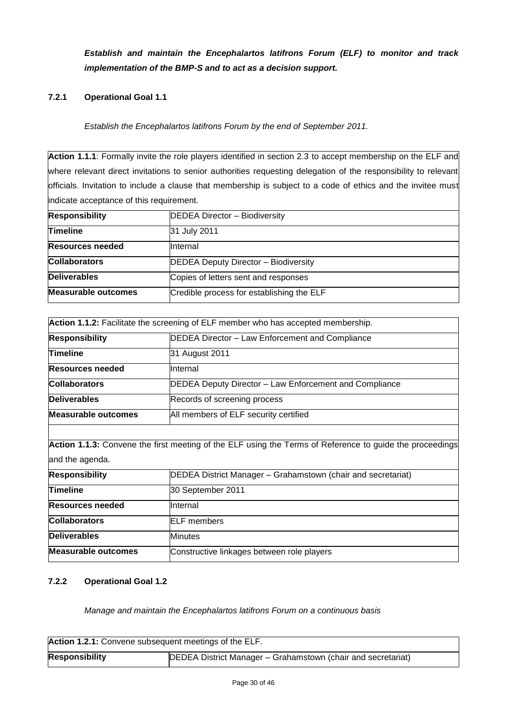*Establish and maintain the Encephalartos latifrons Forum (ELF) to monitor and track implementation of the BMP-S and to act as a decision support.*

# **7.2.1 Operational Goal 1.1**

*Establish the Encephalartos latifrons Forum by the end of September 2011.*

**Action 1.1.1**: Formally invite the role players identified in section 2.3 to accept membership on the ELF and where relevant direct invitations to senior authorities requesting delegation of the responsibility to relevant officials. Invitation to include a clause that membership is subject to a code of ethics and the invitee must indicate acceptance of this requirement.

| <b>Responsibility</b>      | DEDEA Director - Biodiversity               |
|----------------------------|---------------------------------------------|
| <b>Timeline</b>            | 31 July 2011                                |
| <b>Resources needed</b>    | Ilnternal                                   |
| <b>Collaborators</b>       | <b>DEDEA Deputy Director - Biodiversity</b> |
| <b>Deliverables</b>        | Copies of letters sent and responses        |
| <b>Measurable outcomes</b> | Credible process for establishing the ELF   |

| Action 1.1.2: Facilitate the screening of ELF member who has accepted membership. |                                                        |  |
|-----------------------------------------------------------------------------------|--------------------------------------------------------|--|
| <b>Responsibility</b>                                                             | DEDEA Director - Law Enforcement and Compliance        |  |
| <b>Timeline</b>                                                                   | 31 August 2011                                         |  |
| <b>Resources needed</b>                                                           | <b>Internal</b>                                        |  |
| <b>Collaborators</b>                                                              | DEDEA Deputy Director - Law Enforcement and Compliance |  |
| <b>Deliverables</b>                                                               | Records of screening process                           |  |
| <b>Measurable outcomes</b>                                                        | All members of ELF security certified                  |  |

**Action 1.1.3:** Convene the first meeting of the ELF using the Terms of Reference to guide the proceedings and the agenda.

| <b>Responsibility</b>      | <b>DEDEA District Manager - Grahamstown (chair and secretariat)</b> |
|----------------------------|---------------------------------------------------------------------|
| <b>Timeline</b>            | 30 September 2011                                                   |
| <b>Resources needed</b>    | Internal                                                            |
| <b>Collaborators</b>       | <b>IELF</b> members                                                 |
| <b>Deliverables</b>        | <b>Minutes</b>                                                      |
| <b>Measurable outcomes</b> | Constructive linkages between role players                          |

# **7.2.2 Operational Goal 1.2**

*Manage and maintain the Encephalartos latifrons Forum on a continuous basis*

| Action 1.2.1: Convene subsequent meetings of the ELF. |                                                              |
|-------------------------------------------------------|--------------------------------------------------------------|
| <b>Responsibility</b>                                 | DEDEA District Manager - Grahamstown (chair and secretariat) |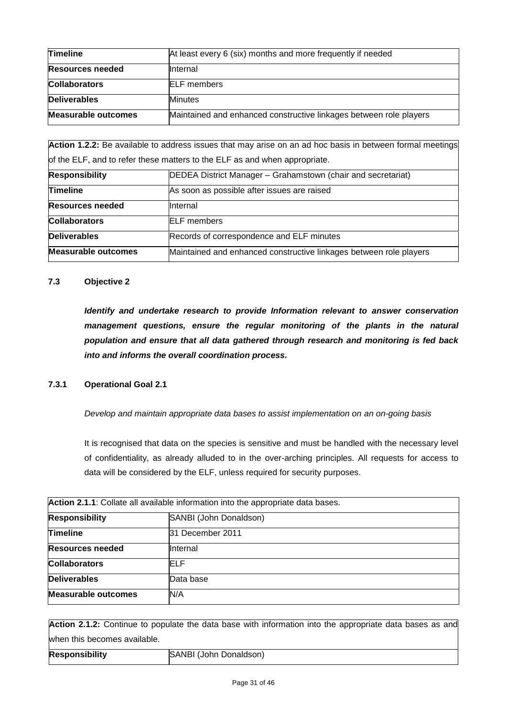| <b>Timeline</b>            | At least every 6 (six) months and more frequently if needed        |
|----------------------------|--------------------------------------------------------------------|
| <b>Resources needed</b>    | <b>Internal</b>                                                    |
| <b>Collaborators</b>       | <b>IELF</b> members                                                |
| <b>Deliverables</b>        | <b>Minutes</b>                                                     |
| <b>Measurable outcomes</b> | Maintained and enhanced constructive linkages between role players |

**Action 1.2.2:** Be available to address issues that may arise on an ad hoc basis in between formal meetings of the ELF, and to refer these matters to the ELF as and when appropriate.

| <b>Responsibility</b>      | DEDEA District Manager - Grahamstown (chair and secretariat)       |
|----------------------------|--------------------------------------------------------------------|
| <b>Timeline</b>            | As soon as possible after issues are raised                        |
| <b>Resources needed</b>    | <b>Internal</b>                                                    |
| <b>Collaborators</b>       | <b>IELF</b> members                                                |
| Deliverables               | Records of correspondence and ELF minutes                          |
| <b>Measurable outcomes</b> | Maintained and enhanced constructive linkages between role players |

### **7.3 Objective 2**

*Identify and undertake research to provide Information relevant to answer conservation management questions, ensure the regular monitoring of the plants in the natural population and ensure that all data gathered through research and monitoring is fed back into and informs the overall coordination process.*

### **7.3.1 Operational Goal 2.1**

*Develop and maintain appropriate data bases to assist implementation on an on-going basis* 

It is recognised that data on the species is sensitive and must be handled with the necessary level of confidentiality, as already alluded to in the over-arching principles. All requests for access to data will be considered by the ELF, unless required for security purposes.

| Action 2.1.1: Collate all available information into the appropriate data bases. |                        |
|----------------------------------------------------------------------------------|------------------------|
| <b>Responsibility</b>                                                            | SANBI (John Donaldson) |
| <b>Timeline</b>                                                                  | 31 December 2011       |
| <b>Resources needed</b>                                                          | Internal               |
| <b>Collaborators</b>                                                             | ELF                    |
| <b>Deliverables</b>                                                              | Data base              |
| <b>Measurable outcomes</b>                                                       | N/A                    |

**Action 2.1.2:** Continue to populate the data base with information into the appropriate data bases as and when this becomes available. **Responsibility** SANBI (John Donaldson)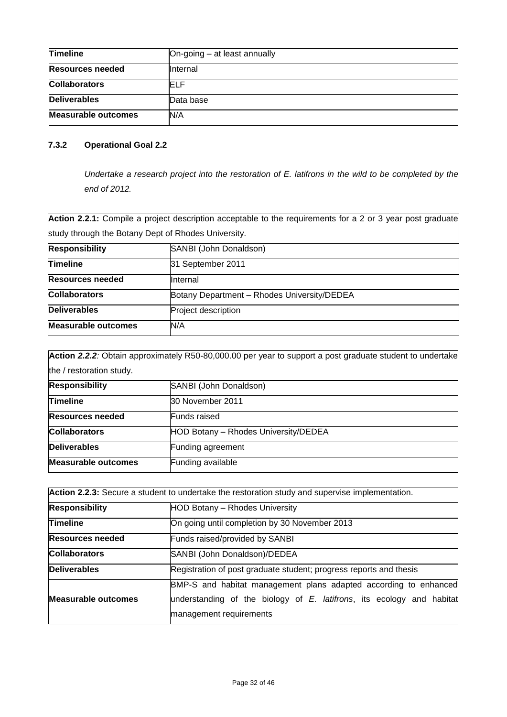| <b>Timeline</b>            | On-going - at least annually |
|----------------------------|------------------------------|
| <b>Resources needed</b>    | IInternal                    |
| <b>Collaborators</b>       | ELF                          |
| <b>Deliverables</b>        | Data base                    |
| <b>Measurable outcomes</b> | N/A                          |

# **7.3.2 Operational Goal 2.2**

*Undertake a research project into the restoration of E. latifrons in the wild to be completed by the end of 2012.*

Action 2.2.1: Compile a project description acceptable to the requirements for a 2 or 3 year post graduate study through the Botany Dept of Rhodes University.

| <b>Responsibility</b>      | SANBI (John Donaldson)                      |  |
|----------------------------|---------------------------------------------|--|
| <b>Timeline</b>            | 31 September 2011                           |  |
| <b>Resources needed</b>    | Internal                                    |  |
| <b>Collaborators</b>       | Botany Department - Rhodes University/DEDEA |  |
| <b>Deliverables</b>        | Project description                         |  |
| <b>Measurable outcomes</b> | N/A                                         |  |

**Action** *2.2.2:* Obtain approximately R50-80,000.00 per year to support a post graduate student to undertake the / restoration study.

| <b>Responsibility</b>      | SANBI (John Donaldson)               |
|----------------------------|--------------------------------------|
| <b>Timeline</b>            | 30 November 2011                     |
| <b>Resources needed</b>    | <b>Funds</b> raised                  |
| <b>Collaborators</b>       | HOD Botany - Rhodes University/DEDEA |
| Deliverables               | Funding agreement                    |
| <b>Measurable outcomes</b> | Funding available                    |

| Action 2.2.3: Secure a student to undertake the restoration study and supervise implementation. |                                                                          |
|-------------------------------------------------------------------------------------------------|--------------------------------------------------------------------------|
| <b>Responsibility</b>                                                                           | HOD Botany - Rhodes University                                           |
| <b>Timeline</b>                                                                                 | On going until completion by 30 November 2013                            |
| <b>Resources needed</b>                                                                         | Funds raised/provided by SANBI                                           |
| <b>Collaborators</b>                                                                            | SANBI (John Donaldson)/DEDEA                                             |
| <b>Deliverables</b>                                                                             | Registration of post graduate student; progress reports and thesis       |
|                                                                                                 | BMP-S and habitat management plans adapted according to enhanced         |
| Measurable outcomes                                                                             | understanding of the biology of $E$ . latifrons, its ecology and habitat |
|                                                                                                 | management requirements                                                  |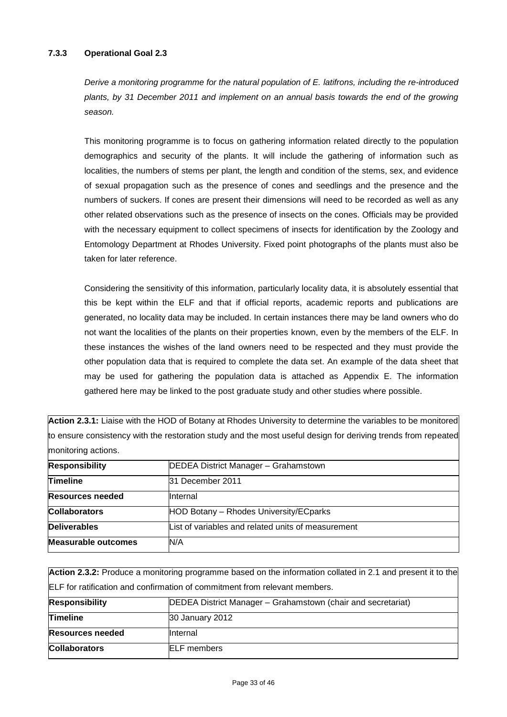## **7.3.3 Operational Goal 2.3**

*Derive a monitoring programme for the natural population of E. latifrons, including the re-introduced plants, by 31 December 2011 and implement on an annual basis towards the end of the growing season.*

This monitoring programme is to focus on gathering information related directly to the population demographics and security of the plants. It will include the gathering of information such as localities, the numbers of stems per plant, the length and condition of the stems, sex, and evidence of sexual propagation such as the presence of cones and seedlings and the presence and the numbers of suckers. If cones are present their dimensions will need to be recorded as well as any other related observations such as the presence of insects on the cones. Officials may be provided with the necessary equipment to collect specimens of insects for identification by the Zoology and Entomology Department at Rhodes University. Fixed point photographs of the plants must also be taken for later reference.

Considering the sensitivity of this information, particularly locality data, it is absolutely essential that this be kept within the ELF and that if official reports, academic reports and publications are generated, no locality data may be included. In certain instances there may be land owners who do not want the localities of the plants on their properties known, even by the members of the ELF. In these instances the wishes of the land owners need to be respected and they must provide the other population data that is required to complete the data set. An example of the data sheet that may be used for gathering the population data is attached as Appendix E. The information gathered here may be linked to the post graduate study and other studies where possible.

**Action 2.3.1:** Liaise with the HOD of Botany at Rhodes University to determine the variables to be monitored to ensure consistency with the restoration study and the most useful design for deriving trends from repeated monitoring actions.

| <b>Responsibility</b>   | DEDEA District Manager - Grahamstown               |
|-------------------------|----------------------------------------------------|
|                         |                                                    |
| <b>Timeline</b>         | 31 December 2011                                   |
| <b>Resources needed</b> | <b>Internal</b>                                    |
| <b>Collaborators</b>    | HOD Botany - Rhodes University/ECparks             |
| <b>Deliverables</b>     | List of variables and related units of measurement |
| Measurable outcomes     | N/A                                                |

**Action 2.3.2:** Produce a monitoring programme based on the information collated in 2.1 and present it to the ELF for ratification and confirmation of commitment from relevant members. **Responsibility DEDEA District Manager – Grahamstown (chair and secretariat) Timeline** 30 January 2012 **Resources needed Internal Collaborators** ELF members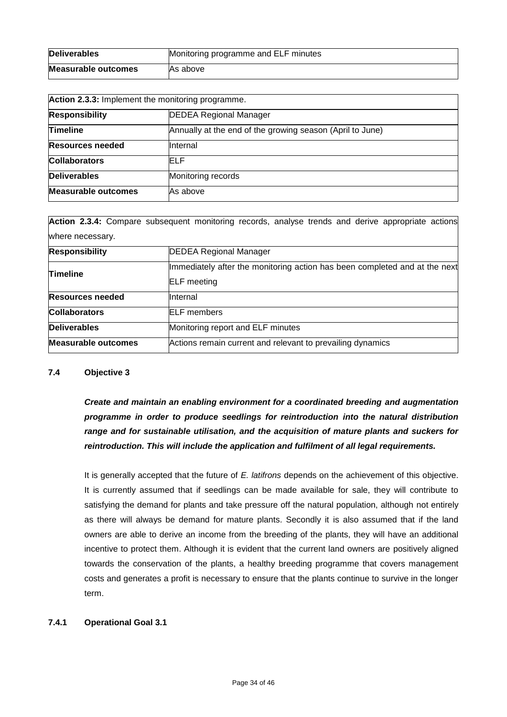| <b>Deliverables</b> | Monitoring programme and ELF minutes |
|---------------------|--------------------------------------|
| Measurable outcomes | As above                             |

| Action 2.3.3: Implement the monitoring programme. |                                                           |
|---------------------------------------------------|-----------------------------------------------------------|
| <b>Responsibility</b>                             | <b>DEDEA Regional Manager</b>                             |
| Timeline                                          | Annually at the end of the growing season (April to June) |
| <b>Resources needed</b>                           | Internal                                                  |
| <b>Collaborators</b>                              | ELF                                                       |
| <b>Deliverables</b>                               | Monitoring records                                        |
| <b>Measurable outcomes</b>                        | As above                                                  |

**Action 2.3.4:** Compare subsequent monitoring records, analyse trends and derive appropriate actions where necessary.

| <b>Responsibility</b>      | <b>DEDEA Regional Manager</b>                                                                    |
|----------------------------|--------------------------------------------------------------------------------------------------|
| <b>Timeline</b>            | Immediately after the monitoring action has been completed and at the next<br><b>ELF</b> meeting |
| <b>Resources needed</b>    | <b>Internal</b>                                                                                  |
| <b>Collaborators</b>       | <b>ELF</b> members                                                                               |
| <b>Deliverables</b>        | Monitoring report and ELF minutes                                                                |
| <b>Measurable outcomes</b> | Actions remain current and relevant to prevailing dynamics                                       |

### **7.4 Objective 3**

*Create and maintain an enabling environment for a coordinated breeding and augmentation programme in order to produce seedlings for reintroduction into the natural distribution range and for sustainable utilisation, and the acquisition of mature plants and suckers for reintroduction. This will include the application and fulfilment of all legal requirements.*

It is generally accepted that the future of *E. latifrons* depends on the achievement of this objective. It is currently assumed that if seedlings can be made available for sale, they will contribute to satisfying the demand for plants and take pressure off the natural population, although not entirely as there will always be demand for mature plants. Secondly it is also assumed that if the land owners are able to derive an income from the breeding of the plants, they will have an additional incentive to protect them. Although it is evident that the current land owners are positively aligned towards the conservation of the plants, a healthy breeding programme that covers management costs and generates a profit is necessary to ensure that the plants continue to survive in the longer term.

## **7.4.1 Operational Goal 3.1**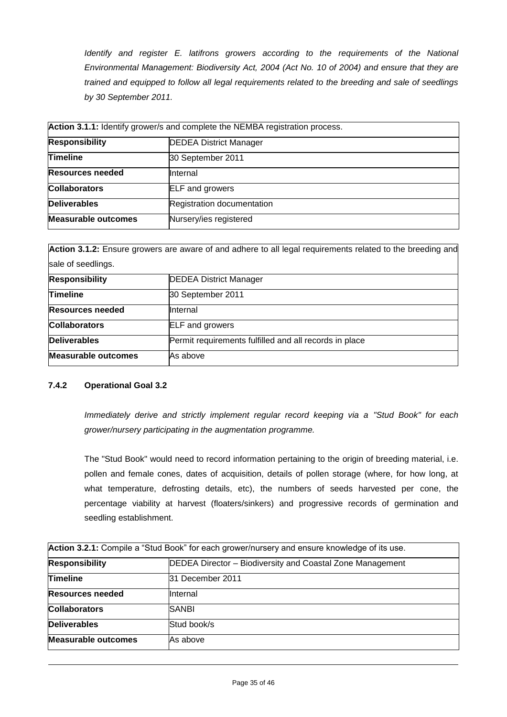*Identify and register E. latifrons growers according to the requirements of the National Environmental Management: Biodiversity Act, 2004 (Act No. 10 of 2004) and ensure that they are trained and equipped to follow all legal requirements related to the breeding and sale of seedlings by 30 September 2011.*

| Action 3.1.1: Identify grower/s and complete the NEMBA registration process. |                               |
|------------------------------------------------------------------------------|-------------------------------|
| <b>Responsibility</b>                                                        | <b>DEDEA District Manager</b> |
| <b>Timeline</b>                                                              | 30 September 2011             |
| <b>Resources needed</b>                                                      | Internal                      |
| <b>Collaborators</b>                                                         | <b>ELF</b> and growers        |
| <b>Deliverables</b>                                                          | Registration documentation    |
| <b>Measurable outcomes</b>                                                   | Nursery/ies registered        |

**Action 3.1.2:** Ensure growers are aware of and adhere to all legal requirements related to the breeding and sale of seedlings.

| <b>Responsibility</b>      | <b>DEDEA District Manager</b>                          |
|----------------------------|--------------------------------------------------------|
| Timeline                   | 30 September 2011                                      |
| <b>Resources needed</b>    | Internal                                               |
| <b>Collaborators</b>       | <b>ELF</b> and growers                                 |
| <b>Deliverables</b>        | Permit requirements fulfilled and all records in place |
| <b>Measurable outcomes</b> | As above                                               |

# **7.4.2 Operational Goal 3.2**

*Immediately derive and strictly implement regular record keeping via a "Stud Book" for each grower/nursery participating in the augmentation programme.*

The "Stud Book" would need to record information pertaining to the origin of breeding material, i.e. pollen and female cones, dates of acquisition, details of pollen storage (where, for how long, at what temperature, defrosting details, etc), the numbers of seeds harvested per cone, the percentage viability at harvest (floaters/sinkers) and progressive records of germination and seedling establishment.

| Action 3.2.1: Compile a "Stud Book" for each grower/nursery and ensure knowledge of its use. |                                                           |
|----------------------------------------------------------------------------------------------|-----------------------------------------------------------|
| <b>Responsibility</b>                                                                        | DEDEA Director – Biodiversity and Coastal Zone Management |
| <b>Timeline</b>                                                                              | 31 December 2011                                          |
| <b>Resources needed</b>                                                                      | Internal                                                  |
| <b>Collaborators</b>                                                                         | <b>SANBI</b>                                              |
| <b>Deliverables</b>                                                                          | Stud book/s                                               |
| <b>Measurable outcomes</b>                                                                   | As above                                                  |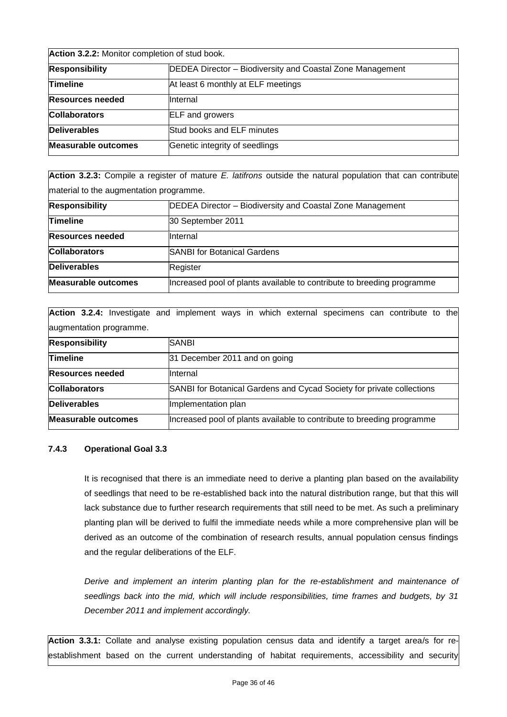| Action 3.2.2: Monitor completion of stud book. |                                                           |
|------------------------------------------------|-----------------------------------------------------------|
| <b>Responsibility</b>                          | DEDEA Director - Biodiversity and Coastal Zone Management |
| <b>Timeline</b>                                | At least 6 monthly at ELF meetings                        |
| <b>Resources needed</b>                        | Internal                                                  |
| <b>Collaborators</b>                           | <b>ELF</b> and growers                                    |
| <b>Deliverables</b>                            | Stud books and ELF minutes                                |
| <b>Measurable outcomes</b>                     | Genetic integrity of seedlings                            |

**Action 3.2.3:** Compile a register of mature *E. latifrons* outside the natural population that can contribute material to the augmentation programme.

| <b>Responsibility</b>      | <b>DEDEA Director - Biodiversity and Coastal Zone Management</b>       |
|----------------------------|------------------------------------------------------------------------|
| <b>Timeline</b>            | 30 September 2011                                                      |
| <b>Resources needed</b>    | Internal                                                               |
| <b>Collaborators</b>       | <b>SANBI for Botanical Gardens</b>                                     |
| <b>Deliverables</b>        | Register                                                               |
| <b>Measurable outcomes</b> | Increased pool of plants available to contribute to breeding programme |

**Action 3.2.4:** Investigate and implement ways in which external specimens can contribute to the augmentation programme.

| <b>Responsibility</b>      | <b>SANBI</b>                                                           |
|----------------------------|------------------------------------------------------------------------|
| <b>Timeline</b>            | 31 December 2011 and on going                                          |
| <b>Resources needed</b>    | Internal                                                               |
| <b>Collaborators</b>       | SANBI for Botanical Gardens and Cycad Society for private collections  |
| Deliverables               | Implementation plan                                                    |
| <b>Measurable outcomes</b> | Increased pool of plants available to contribute to breeding programme |

### **7.4.3 Operational Goal 3.3**

It is recognised that there is an immediate need to derive a planting plan based on the availability of seedlings that need to be re-established back into the natural distribution range, but that this will lack substance due to further research requirements that still need to be met. As such a preliminary planting plan will be derived to fulfil the immediate needs while a more comprehensive plan will be derived as an outcome of the combination of research results, annual population census findings and the regular deliberations of the ELF.

*Derive and implement an interim planting plan for the re-establishment and maintenance of seedlings back into the mid, which will include responsibilities, time frames and budgets, by 31 December 2011 and implement accordingly.*

**Action 3.3.1:** Collate and analyse existing population census data and identify a target area/s for reestablishment based on the current understanding of habitat requirements, accessibility and security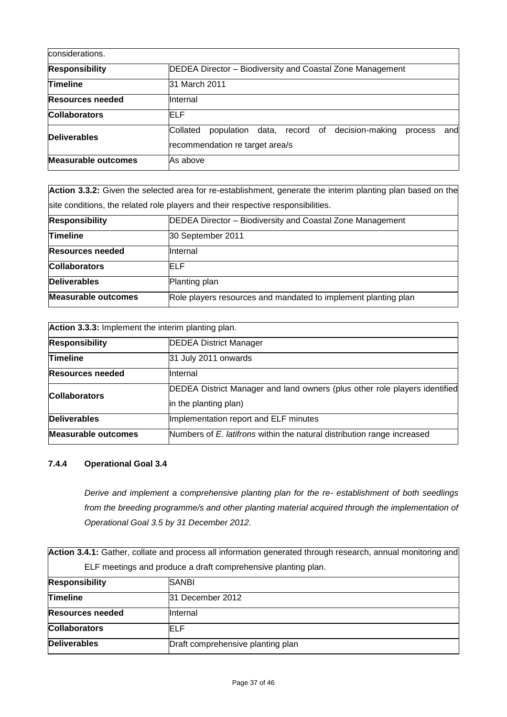| considerations.            |                                                                                                                       |
|----------------------------|-----------------------------------------------------------------------------------------------------------------------|
| <b>Responsibility</b>      | DEDEA Director – Biodiversity and Coastal Zone Management                                                             |
| <b>Timeline</b>            | 31 March 2011                                                                                                         |
| Resources needed           | Internal                                                                                                              |
| <b>Collaborators</b>       | ELF                                                                                                                   |
| <b>Deliverables</b>        | Collated<br>decision-making<br>population<br>data.<br>record of<br>andl<br>process<br>recommendation re target area/s |
| <b>Measurable outcomes</b> | As above                                                                                                              |

| Action 3.3.2: Given the selected area for re-establishment, generate the interim planting plan based on the |                                                                                  |
|-------------------------------------------------------------------------------------------------------------|----------------------------------------------------------------------------------|
|                                                                                                             | site conditions, the related role players and their respective responsibilities. |
| <b>Responsibility</b>                                                                                       | DEDEA Director - Biodiversity and Coastal Zone Management                        |
| Timeline                                                                                                    | 30 September 2011                                                                |
| <b>Resources needed</b>                                                                                     | Internal                                                                         |
| <b>Collaborators</b>                                                                                        | ELF                                                                              |
| <b>Deliverables</b>                                                                                         | Planting plan                                                                    |
| <b>Measurable outcomes</b>                                                                                  | Role players resources and mandated to implement planting plan                   |

| Action 3.3.3: Implement the interim planting plan. |                                                                            |
|----------------------------------------------------|----------------------------------------------------------------------------|
| <b>Responsibility</b>                              | <b>DEDEA District Manager</b>                                              |
| <b>Timeline</b>                                    | 31 July 2011 onwards                                                       |
| <b>Resources needed</b>                            | Internal                                                                   |
| <b>Collaborators</b>                               | DEDEA District Manager and land owners (plus other role players identified |
|                                                    | in the planting plan)                                                      |
| Deliverables                                       | Implementation report and ELF minutes                                      |
| <b>Measurable outcomes</b>                         | Numbers of E. latifrons within the natural distribution range increased    |

# **7.4.4 Operational Goal 3.4**

*Derive and implement a comprehensive planting plan for the re- establishment of both seedlings from the breeding programme/s and other planting material acquired through the implementation of Operational Goal 3.5 by 31 December 2012.*

|                         | Action 3.4.1: Gather, collate and process all information generated through research, annual monitoring and |
|-------------------------|-------------------------------------------------------------------------------------------------------------|
|                         | ELF meetings and produce a draft comprehensive planting plan.                                               |
| <b>Responsibility</b>   | SANBI                                                                                                       |
| <b>Timeline</b>         | 31 December 2012                                                                                            |
| <b>Resources needed</b> | Internal                                                                                                    |
| <b>Collaborators</b>    | ELF                                                                                                         |
| <b>Deliverables</b>     | Draft comprehensive planting plan                                                                           |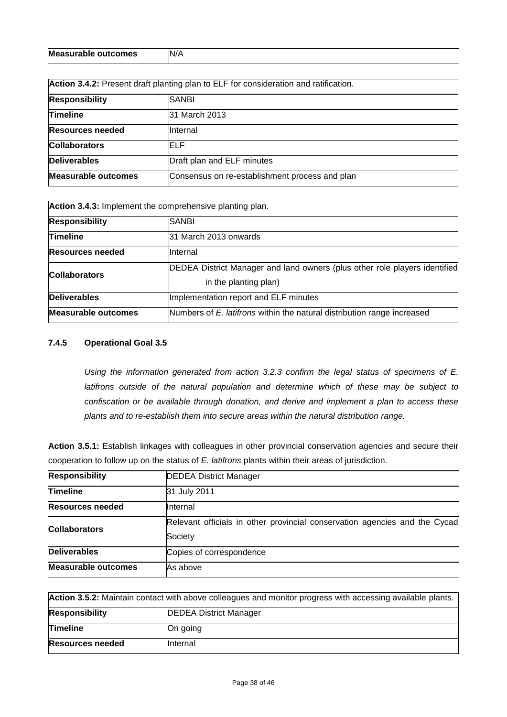| <b>Measurable outcomes</b> | N/A |
|----------------------------|-----|
|----------------------------|-----|

| Action 3.4.2: Present draft planting plan to ELF for consideration and ratification. |                                                |
|--------------------------------------------------------------------------------------|------------------------------------------------|
| <b>Responsibility</b>                                                                | SANBI                                          |
| <b>Timeline</b>                                                                      | 31 March 2013                                  |
| <b>Resources needed</b>                                                              | <b>Internal</b>                                |
| <b>Collaborators</b>                                                                 | ELF                                            |
| <b>Deliverables</b>                                                                  | Draft plan and ELF minutes                     |
| <b>Measurable outcomes</b>                                                           | Consensus on re-establishment process and plan |

**Action 3.4.3:** Implement the comprehensive planting plan.

| <b>Action 3.4.3.</b> Implement the complement is the planting plant. |                                                                            |
|----------------------------------------------------------------------|----------------------------------------------------------------------------|
| <b>Responsibility</b>                                                | SANBI                                                                      |
| <b>Timeline</b>                                                      | l31 March 2013 onwards                                                     |
| <b>Resources needed</b>                                              | <b>Internal</b>                                                            |
| <b>Collaborators</b>                                                 | DEDEA District Manager and land owners (plus other role players identified |
|                                                                      | in the planting plan)                                                      |
| <b>Deliverables</b>                                                  | Implementation report and ELF minutes                                      |
| <b>Measurable outcomes</b>                                           | Numbers of E. latifrons within the natural distribution range increased    |

## **7.4.5 Operational Goal 3.5**

*Using the information generated from action 3.2.3 confirm the legal status of specimens of E. latifrons outside of the natural population and determine which of these may be subject to confiscation or be available through donation, and derive and implement a plan to access these plants and to re-establish them into secure areas within the natural distribution range.*

Action 3.5.1: Establish linkages with colleagues in other provincial conservation agencies and secure their cooperation to follow up on the status of *E. latifrons* plants within their areas of jurisdiction.

| <b>Responsibility</b>      | <b>DEDEA District Manager</b>                                                         |
|----------------------------|---------------------------------------------------------------------------------------|
| <b>Timeline</b>            | 31 July 2011                                                                          |
| Resources needed           | Internal                                                                              |
| <b>Collaborators</b>       | Relevant officials in other provincial conservation agencies and the Cycad<br>Society |
| <b>Deliverables</b>        | Copies of correspondence                                                              |
| <b>Measurable outcomes</b> | As above                                                                              |

| Action 3.5.2: Maintain contact with above colleagues and monitor progress with accessing available plants. |                               |
|------------------------------------------------------------------------------------------------------------|-------------------------------|
| <b>Responsibility</b>                                                                                      | <b>DEDEA District Manager</b> |
| <b>Timeline</b>                                                                                            | On going                      |
| <b>Resources needed</b>                                                                                    | <b>Internal</b>               |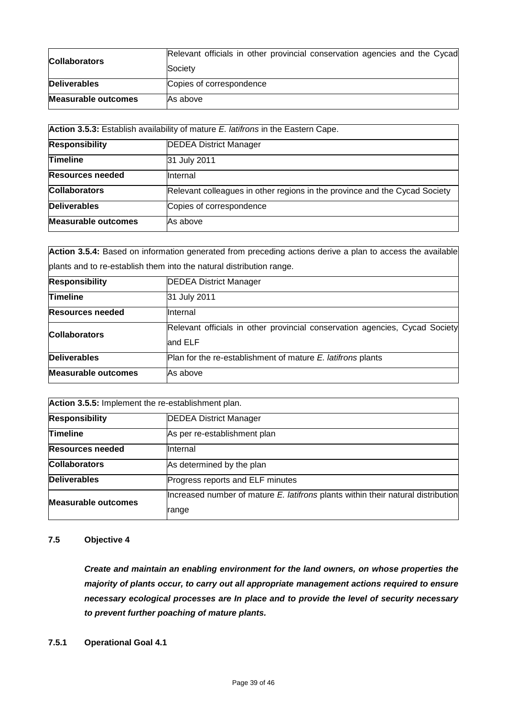|                            | Relevant officials in other provincial conservation agencies and the Cycad |
|----------------------------|----------------------------------------------------------------------------|
| <b>Collaborators</b>       | Society                                                                    |
| <b>Deliverables</b>        | Copies of correspondence                                                   |
| <b>Measurable outcomes</b> | As above                                                                   |

| Action 3.5.3: Establish availability of mature E. latifrons in the Eastern Cape. |                                                                            |
|----------------------------------------------------------------------------------|----------------------------------------------------------------------------|
| <b>Responsibility</b>                                                            | <b>DEDEA District Manager</b>                                              |
| <b>Timeline</b>                                                                  | 31 July 2011                                                               |
| <b>Resources needed</b>                                                          | Internal                                                                   |
| <b>Collaborators</b>                                                             | Relevant colleagues in other regions in the province and the Cycad Society |
| <b>Deliverables</b>                                                              | Copies of correspondence                                                   |
| <b>Measurable outcomes</b>                                                       | As above                                                                   |

**Action 3.5.4:** Based on information generated from preceding actions derive a plan to access the available plants and to re-establish them into the natural distribution range.

| <b>Responsibility</b>      | <b>DEDEA District Manager</b>                                                           |
|----------------------------|-----------------------------------------------------------------------------------------|
| <b>Timeline</b>            | 31 July 2011                                                                            |
| <b>Resources needed</b>    | Internal                                                                                |
| <b>Collaborators</b>       | Relevant officials in other provincial conservation agencies, Cycad Society<br>land ELF |
| <b>Deliverables</b>        | Plan for the re-establishment of mature E. latifrons plants                             |
| <b>Measurable outcomes</b> | As above                                                                                |

| Action 3.5.5: Implement the re-establishment plan. |                                                                                  |
|----------------------------------------------------|----------------------------------------------------------------------------------|
| <b>Responsibility</b>                              | <b>DEDEA District Manager</b>                                                    |
| <b>Timeline</b>                                    | As per re-establishment plan                                                     |
| <b>Resources needed</b>                            | Internal                                                                         |
| <b>Collaborators</b>                               | As determined by the plan                                                        |
| <b>Deliverables</b>                                | Progress reports and ELF minutes                                                 |
| <b>Measurable outcomes</b>                         | Increased number of mature E. latifrons plants within their natural distribution |
|                                                    | range                                                                            |

### **7.5 Objective 4**

*Create and maintain an enabling environment for the land owners, on whose properties the majority of plants occur, to carry out all appropriate management actions required to ensure necessary ecological processes are In place and to provide the level of security necessary to prevent further poaching of mature plants.*

**7.5.1 Operational Goal 4.1**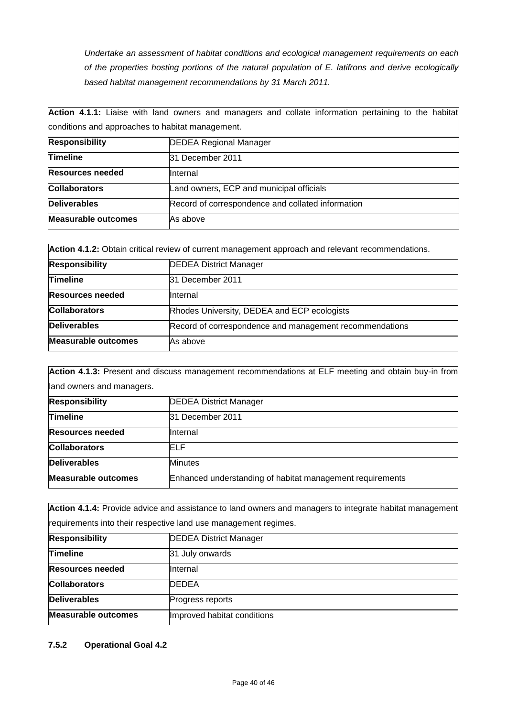*Undertake an assessment of habitat conditions and ecological management requirements on each of the properties hosting portions of the natural population of E. latifrons and derive ecologically based habitat management recommendations by 31 March 2011.*

|                                                  | Action 4.1.1: Liaise with land owners and managers and collate information pertaining to the habitat |
|--------------------------------------------------|------------------------------------------------------------------------------------------------------|
| conditions and approaches to habitat management. |                                                                                                      |
| <b>Responsibility</b>                            | <b>DEDEA Regional Manager</b>                                                                        |
| <b>Timeline</b>                                  | 31 December 2011                                                                                     |
| <b>Resources needed</b>                          | Internal                                                                                             |
| <b>Collaborators</b>                             | Land owners, ECP and municipal officials                                                             |
| <b>Deliverables</b>                              | Record of correspondence and collated information                                                    |
| <b>Measurable outcomes</b>                       | As above                                                                                             |

| Action 4.1.2: Obtain critical review of current management approach and relevant recommendations. |                                                         |
|---------------------------------------------------------------------------------------------------|---------------------------------------------------------|
| <b>Responsibility</b>                                                                             | <b>DEDEA District Manager</b>                           |
| <b>Timeline</b>                                                                                   | 31 December 2011                                        |
| <b>Resources needed</b>                                                                           | Internal                                                |
| <b>Collaborators</b>                                                                              | Rhodes University, DEDEA and ECP ecologists             |
| <b>Deliverables</b>                                                                               | Record of correspondence and management recommendations |
| <b>Measurable outcomes</b>                                                                        | As above                                                |

**Action 4.1.3:** Present and discuss management recommendations at ELF meeting and obtain buy-in from land owners and managers.

| <b>Responsibility</b>   | <b>DEDEA District Manager</b>                             |
|-------------------------|-----------------------------------------------------------|
| Timeline                | 31 December 2011                                          |
| <b>Resources needed</b> | <b>Internal</b>                                           |
| <b>Collaborators</b>    | ELF                                                       |
| <b>Deliverables</b>     | <b>Minutes</b>                                            |
| Measurable outcomes     | Enhanced understanding of habitat management requirements |

**Action 4.1.4:** Provide advice and assistance to land owners and managers to integrate habitat management requirements into their respective land use management regimes.

| <b>Responsibility</b>      | <b>DEDEA District Manager</b> |
|----------------------------|-------------------------------|
| <b>Timeline</b>            | 31 July onwards               |
| <b>Resources needed</b>    | Internal                      |
| <b>Collaborators</b>       | <b>DEDEA</b>                  |
| Deliverables               | Progress reports              |
| <b>Measurable outcomes</b> | Improved habitat conditions   |

### **7.5.2 Operational Goal 4.2**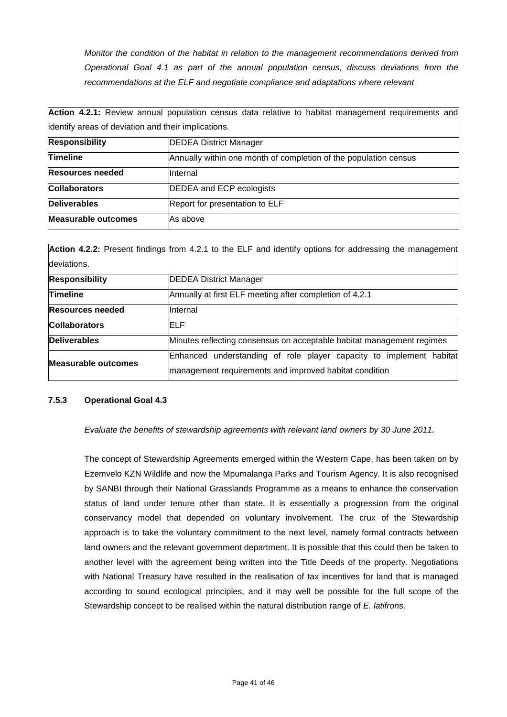*Monitor the condition of the habitat in relation to the management recommendations derived from Operational Goal 4.1 as part of the annual population census, discuss deviations from the recommendations at the ELF and negotiate compliance and adaptations where relevant*

|                                                     | <u>restert treet train alliant alliant babalantin agricula anno talaith in thoman linguand that all alliation all</u> |
|-----------------------------------------------------|-----------------------------------------------------------------------------------------------------------------------|
| identify areas of deviation and their implications. |                                                                                                                       |
| <b>Responsibility</b>                               | <b>DEDEA District Manager</b>                                                                                         |
| <b>Timeline</b>                                     | Annually within one month of completion of the population census                                                      |
| <b>Resources needed</b>                             | Internal                                                                                                              |
| <b>Collaborators</b>                                | DEDEA and ECP ecologists                                                                                              |
| <b>Deliverables</b>                                 | Report for presentation to ELF                                                                                        |
| <b>Measurable outcomes</b>                          | As above                                                                                                              |

Action 4.2.1: Review annual population census data relative to habitat management requirements and

**Action 4.2.2:** Present findings from 4.2.1 to the ELF and identify options for addressing the management deviations.

| <b>DEDEA District Manager</b>                                                                                                 |
|-------------------------------------------------------------------------------------------------------------------------------|
| Annually at first ELF meeting after completion of 4.2.1                                                                       |
| Internal                                                                                                                      |
| ELF                                                                                                                           |
| Minutes reflecting consensus on acceptable habitat management regimes                                                         |
| Enhanced understanding of role player capacity to implement habitat<br>management requirements and improved habitat condition |
|                                                                                                                               |

### **7.5.3 Operational Goal 4.3**

*Evaluate the benefits of stewardship agreements with relevant land owners by 30 June 2011.*

The concept of Stewardship Agreements emerged within the Western Cape, has been taken on by Ezemvelo KZN Wildlife and now the Mpumalanga Parks and Tourism Agency. It is also recognised by SANBI through their National Grasslands Programme as a means to enhance the conservation status of land under tenure other than state. It is essentially a progression from the original conservancy model that depended on voluntary involvement. The crux of the Stewardship approach is to take the voluntary commitment to the next level, namely formal contracts between land owners and the relevant government department. It is possible that this could then be taken to another level with the agreement being written into the Title Deeds of the property. Negotiations with National Treasury have resulted in the realisation of tax incentives for land that is managed according to sound ecological principles, and it may well be possible for the full scope of the Stewardship concept to be realised within the natural distribution range of *E. latifrons*.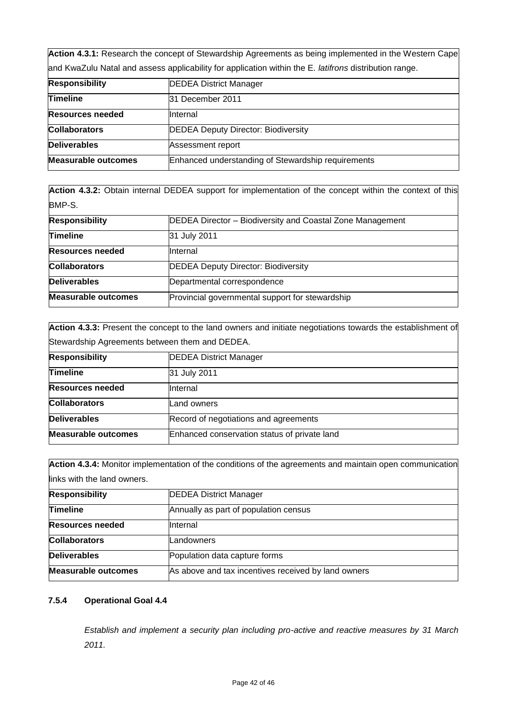**Action 4.3.1:** Research the concept of Stewardship Agreements as being implemented in the Western Cape and KwaZulu Natal and assess applicability for application within the E. *latifrons* distribution range.

| <b>Responsibility</b>      | <b>DEDEA District Manager</b>                      |
|----------------------------|----------------------------------------------------|
| <b>Timeline</b>            | 31 December 2011                                   |
| <b>Resources needed</b>    | <b>Internal</b>                                    |
| <b>Collaborators</b>       | <b>DEDEA Deputy Director: Biodiversity</b>         |
| <b>Deliverables</b>        | Assessment report                                  |
| <b>Measurable outcomes</b> | Enhanced understanding of Stewardship requirements |

**Action 4.3.2:** Obtain internal DEDEA support for implementation of the concept within the context of this BMP-S.

| <b>Responsibility</b>      | <b>DEDEA Director - Biodiversity and Coastal Zone Management</b> |
|----------------------------|------------------------------------------------------------------|
| <b>Timeline</b>            | 31 July 2011                                                     |
| <b>Resources needed</b>    | Internal                                                         |
| <b>Collaborators</b>       | <b>DEDEA Deputy Director: Biodiversity</b>                       |
| <b>Deliverables</b>        | Departmental correspondence                                      |
| <b>Measurable outcomes</b> | Provincial governmental support for stewardship                  |

| Action 4.3.3: Present the concept to the land owners and initiate negotiations towards the establishment of |                                              |
|-------------------------------------------------------------------------------------------------------------|----------------------------------------------|
| Stewardship Agreements between them and DEDEA.                                                              |                                              |
| <b>Responsibility</b>                                                                                       | <b>DEDEA District Manager</b>                |
| <b>Timeline</b>                                                                                             | 31 July 2011                                 |
| <b>Resources needed</b>                                                                                     | Internal                                     |
| <b>Collaborators</b>                                                                                        | Land owners                                  |
| <b>Deliverables</b>                                                                                         | Record of negotiations and agreements        |
| <b>Measurable outcomes</b>                                                                                  | Enhanced conservation status of private land |

**Action 4.3.4:** Monitor implementation of the conditions of the agreements and maintain open communication links with the land owners.

| <b>Responsibility</b>   | <b>DEDEA District Manager</b>                       |
|-------------------------|-----------------------------------------------------|
| <b>Timeline</b>         | Annually as part of population census               |
| <b>Resources needed</b> | Internal                                            |
| <b>Collaborators</b>    | Landowners                                          |
| Deliverables            | Population data capture forms                       |
| Measurable outcomes     | As above and tax incentives received by land owners |

# **7.5.4 Operational Goal 4.4**

*Establish and implement a security plan including pro-active and reactive measures by 31 March 2011.*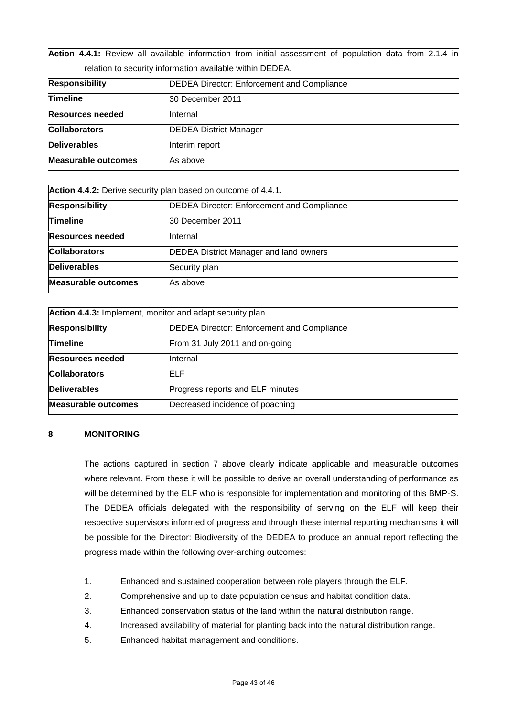**Action 4.4.1:** Review all available information from initial assessment of population data from 2.1.4 in relation to security information available within DEDEA.

| <b>Responsibility</b>      | <b>DEDEA Director: Enforcement and Compliance</b> |
|----------------------------|---------------------------------------------------|
| <b>Timeline</b>            | 30 December 2011                                  |
| <b>Resources needed</b>    | <b>Internal</b>                                   |
| <b>Collaborators</b>       | <b>DEDEA District Manager</b>                     |
| <b>Deliverables</b>        | Interim report                                    |
| <b>Measurable outcomes</b> | As above                                          |

| Action 4.4.2: Derive security plan based on outcome of 4.4.1. |                                                   |
|---------------------------------------------------------------|---------------------------------------------------|
| <b>Responsibility</b>                                         | <b>DEDEA Director: Enforcement and Compliance</b> |
| <b>Timeline</b>                                               | 30 December 2011                                  |
| <b>Resources needed</b>                                       | <b>Internal</b>                                   |
| <b>Collaborators</b>                                          | <b>DEDEA District Manager and land owners</b>     |
| <b>Deliverables</b>                                           | Security plan                                     |
| <b>Measurable outcomes</b>                                    | As above                                          |

| Action 4.4.3: Implement, monitor and adapt security plan. |                                                   |
|-----------------------------------------------------------|---------------------------------------------------|
| <b>Responsibility</b>                                     | <b>DEDEA Director: Enforcement and Compliance</b> |
| <b>Timeline</b>                                           | From 31 July 2011 and on-going                    |
| <b>Resources needed</b>                                   | Internal                                          |
| <b>Collaborators</b>                                      | ELF.                                              |
| <b>Deliverables</b>                                       | Progress reports and ELF minutes                  |
| <b>Measurable outcomes</b>                                | Decreased incidence of poaching                   |

# **8 MONITORING**

The actions captured in section 7 above clearly indicate applicable and measurable outcomes where relevant. From these it will be possible to derive an overall understanding of performance as will be determined by the ELF who is responsible for implementation and monitoring of this BMP-S. The DEDEA officials delegated with the responsibility of serving on the ELF will keep their respective supervisors informed of progress and through these internal reporting mechanisms it will be possible for the Director: Biodiversity of the DEDEA to produce an annual report reflecting the progress made within the following over-arching outcomes:

- 1. Enhanced and sustained cooperation between role players through the ELF.
- 2. Comprehensive and up to date population census and habitat condition data.
- 3. Enhanced conservation status of the land within the natural distribution range.
- 4. Increased availability of material for planting back into the natural distribution range.
- 5. Enhanced habitat management and conditions.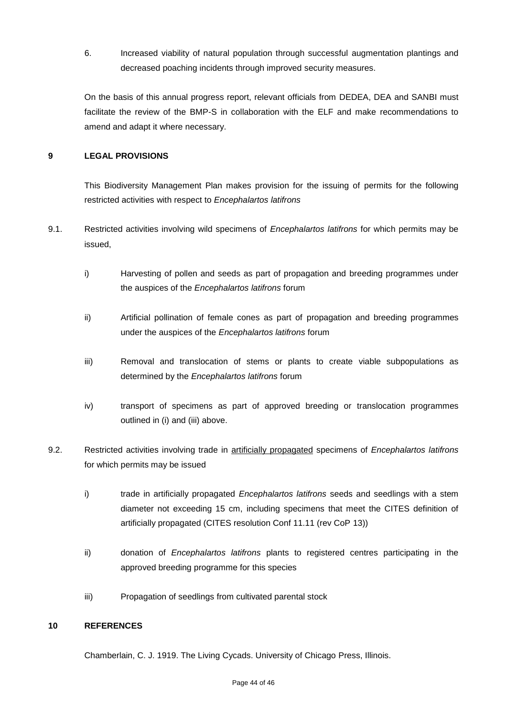6. Increased viability of natural population through successful augmentation plantings and decreased poaching incidents through improved security measures.

On the basis of this annual progress report, relevant officials from DEDEA, DEA and SANBI must facilitate the review of the BMP-S in collaboration with the ELF and make recommendations to amend and adapt it where necessary.

# **9 LEGAL PROVISIONS**

This Biodiversity Management Plan makes provision for the issuing of permits for the following restricted activities with respect to *Encephalartos latifrons*

- 9.1. Restricted activities involving wild specimens of *Encephalartos latifrons* for which permits may be issued,
	- i) Harvesting of pollen and seeds as part of propagation and breeding programmes under the auspices of the *Encephalartos latifrons* forum
	- ii) Artificial pollination of female cones as part of propagation and breeding programmes under the auspices of the *Encephalartos latifrons* forum
	- iii) Removal and translocation of stems or plants to create viable subpopulations as determined by the *Encephalartos latifrons* forum
	- iv) transport of specimens as part of approved breeding or translocation programmes outlined in (i) and (iii) above.
- 9.2. Restricted activities involving trade in artificially propagated specimens of *Encephalartos latifrons* for which permits may be issued
	- i) trade in artificially propagated *Encephalartos latifrons* seeds and seedlings with a stem diameter not exceeding 15 cm, including specimens that meet the CITES definition of artificially propagated (CITES resolution Conf 11.11 (rev CoP 13))
	- ii) donation of *Encephalartos latifrons* plants to registered centres participating in the approved breeding programme for this species
	- iii) Propagation of seedlings from cultivated parental stock

### **10 REFERENCES**

Chamberlain, C. J. 1919. The Living Cycads. University of Chicago Press, Illinois.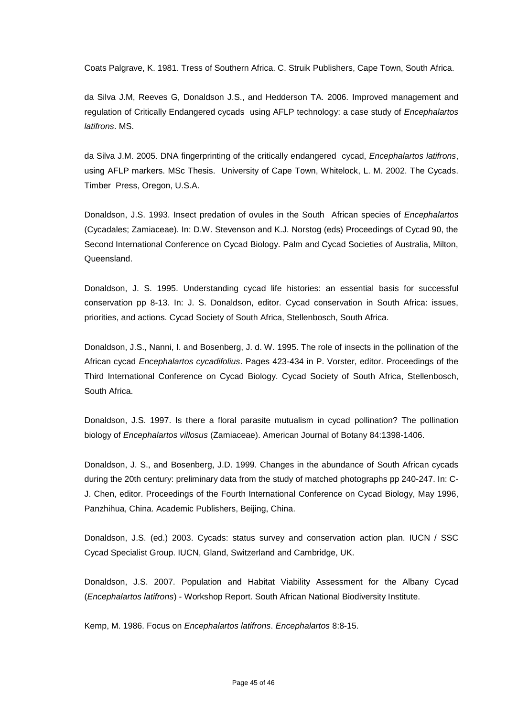Coats Palgrave, K. 1981. Tress of Southern Africa. C. Struik Publishers, Cape Town, South Africa.

da Silva J.M, Reeves G, Donaldson J.S., and Hedderson TA. 2006. Improved management and regulation of Critically Endangered cycads using AFLP technology: a case study of *Encephalartos latifrons*. MS.

da Silva J.M. 2005. DNA fingerprinting of the critically endangered cycad, *Encephalartos latifrons*, using AFLP markers. MSc Thesis. University of Cape Town, Whitelock, L. M. 2002. The Cycads. Timber Press, Oregon, U.S.A.

Donaldson, J.S. 1993. Insect predation of ovules in the South African species of *Encephalartos* (Cycadales; Zamiaceae). In: D.W. Stevenson and K.J. Norstog (eds) Proceedings of Cycad 90, the Second International Conference on Cycad Biology. Palm and Cycad Societies of Australia, Milton, **Queensland** 

Donaldson, J. S. 1995. Understanding cycad life histories: an essential basis for successful conservation pp 8-13. In: J. S. Donaldson, editor. Cycad conservation in South Africa: issues, priorities, and actions. Cycad Society of South Africa, Stellenbosch, South Africa.

Donaldson, J.S., Nanni, I. and Bosenberg, J. d. W. 1995. The role of insects in the pollination of the African cycad *Encephalartos cycadifolius*. Pages 423-434 in P. Vorster, editor. Proceedings of the Third International Conference on Cycad Biology. Cycad Society of South Africa, Stellenbosch, South Africa.

Donaldson, J.S. 1997. Is there a floral parasite mutualism in cycad pollination? The pollination biology of *Encephalartos villosus* (Zamiaceae). American Journal of Botany 84:1398-1406.

Donaldson, J. S., and Bosenberg, J.D. 1999. Changes in the abundance of South African cycads during the 20th century: preliminary data from the study of matched photographs pp 240-247. In: C-J. Chen, editor. Proceedings of the Fourth International Conference on Cycad Biology, May 1996, Panzhihua, China. Academic Publishers, Beijing, China.

Donaldson, J.S. (ed.) 2003. Cycads: status survey and conservation action plan. IUCN / SSC Cycad Specialist Group. IUCN, Gland, Switzerland and Cambridge, UK.

Donaldson, J.S. 2007. Population and Habitat Viability Assessment for the Albany Cycad (*Encephalartos latifrons*) - Workshop Report. South African National Biodiversity Institute.

Kemp, M. 1986. Focus on *Encephalartos latifrons*. *Encephalartos* 8:8-15.